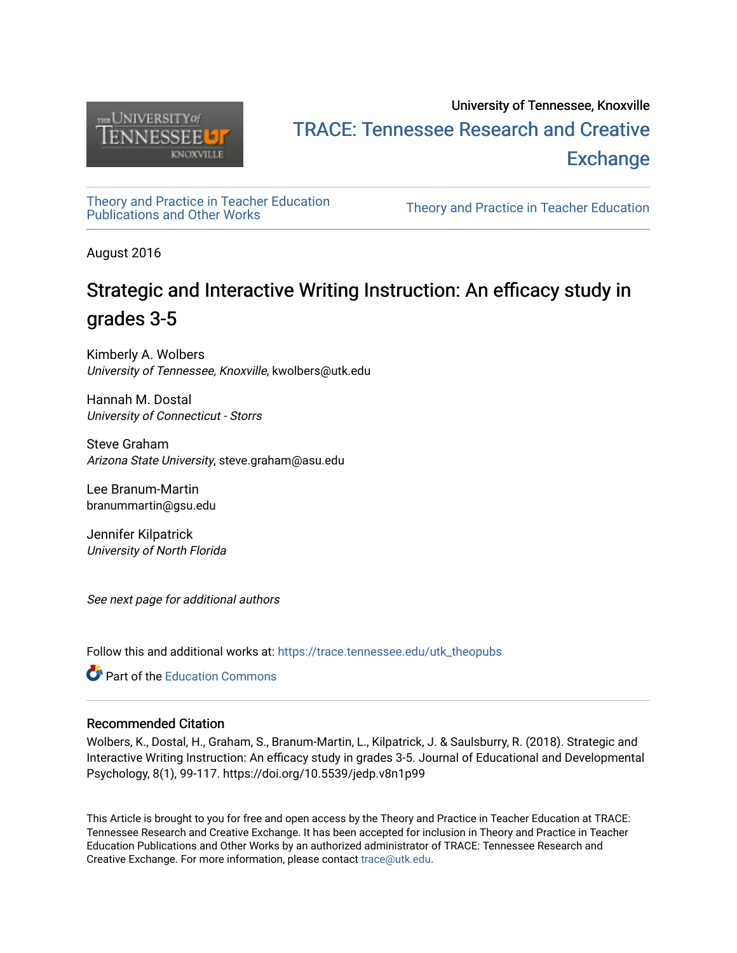

# University of Tennessee, Knoxville TRACE: T[ennessee Research and Cr](https://trace.tennessee.edu/)eative **Exchange**

[Theory and Practice in Teacher Education](https://trace.tennessee.edu/utk_theopubs)

Theory and Practice in Teacher Education

August 2016

# Strategic and Interactive Writing Instruction: An efficacy study in grades 3-5

Kimberly A. Wolbers University of Tennessee, Knoxville, kwolbers@utk.edu

Hannah M. Dostal University of Connecticut - Storrs

Steve Graham Arizona State University, steve.graham@asu.edu

Lee Branum-Martin branummartin@gsu.edu

Jennifer Kilpatrick University of North Florida

See next page for additional authors

Follow this and additional works at: [https://trace.tennessee.edu/utk\\_theopubs](https://trace.tennessee.edu/utk_theopubs?utm_source=trace.tennessee.edu%2Futk_theopubs%2F16&utm_medium=PDF&utm_campaign=PDFCoverPages)

**C** Part of the [Education Commons](https://network.bepress.com/hgg/discipline/784?utm_source=trace.tennessee.edu%2Futk_theopubs%2F16&utm_medium=PDF&utm_campaign=PDFCoverPages)

#### Recommended Citation

Wolbers, K., Dostal, H., Graham, S., Branum-Martin, L., Kilpatrick, J. & Saulsburry, R. (2018). Strategic and Interactive Writing Instruction: An efficacy study in grades 3-5. Journal of Educational and Developmental Psychology, 8(1), 99-117. https://doi.org/10.5539/jedp.v8n1p99

This Article is brought to you for free and open access by the Theory and Practice in Teacher Education at TRACE: Tennessee Research and Creative Exchange. It has been accepted for inclusion in Theory and Practice in Teacher Education Publications and Other Works by an authorized administrator of TRACE: Tennessee Research and Creative Exchange. For more information, please contact [trace@utk.edu](mailto:trace@utk.edu).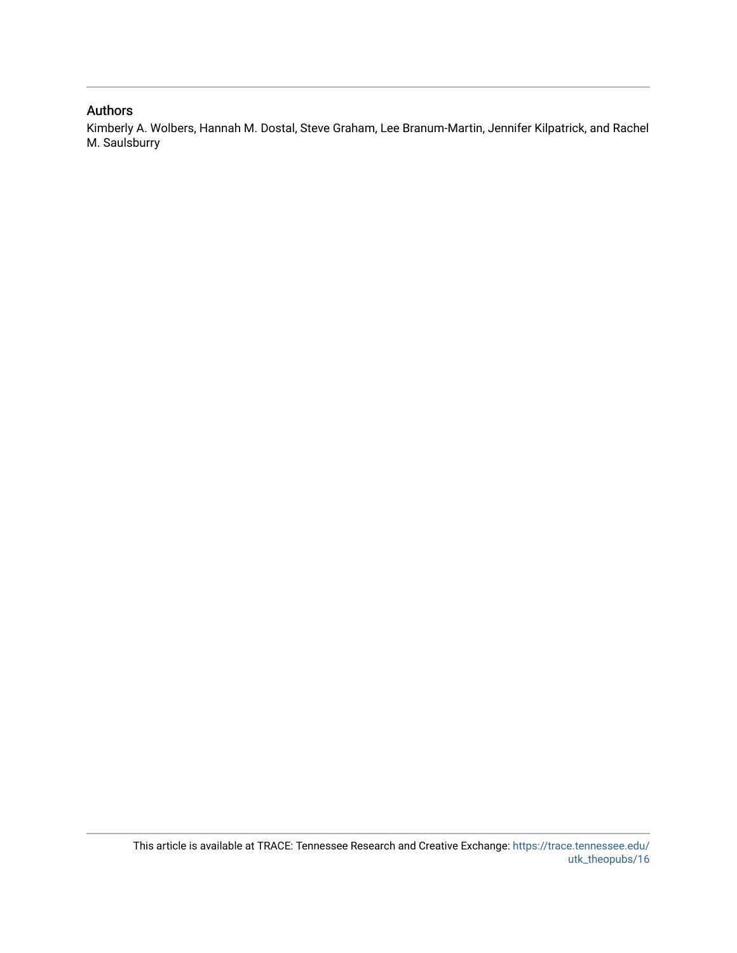#### Authors

Kimberly A. Wolbers, Hannah M. Dostal, Steve Graham, Lee Branum-Martin, Jennifer Kilpatrick, and Rachel M. Saulsburry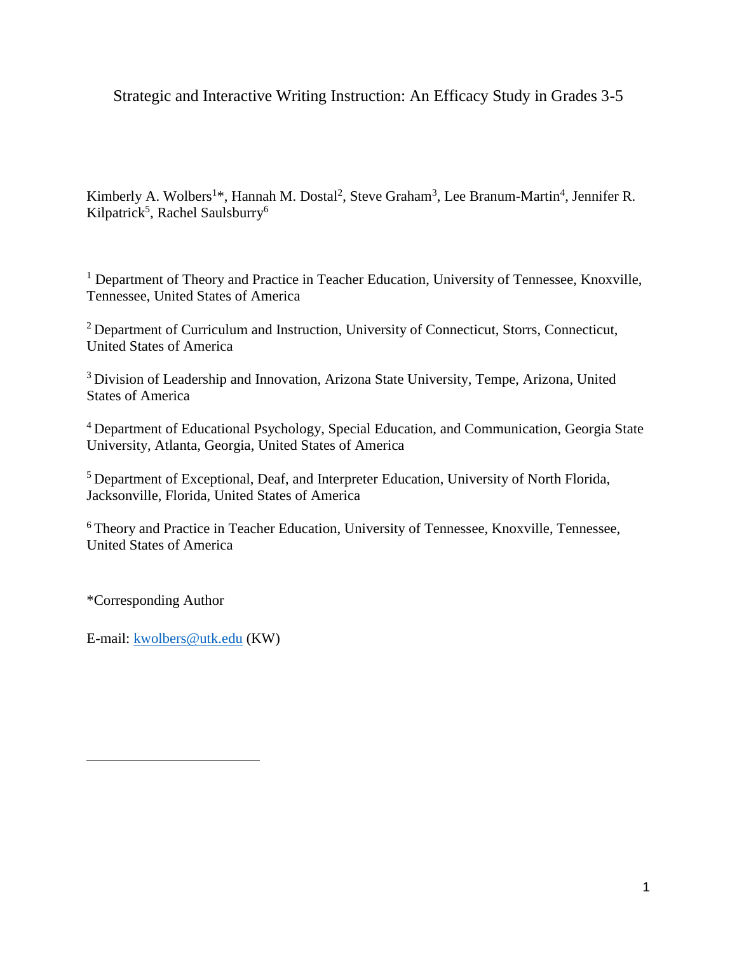Strategic and Interactive Writing Instruction: An Efficacy Study in Grades 3-5

Kimberly A. Wolbers<sup>1\*</sup>, Hannah M. Dostal<sup>2</sup>, Steve Graham<sup>3</sup>, Lee Branum-Martin<sup>4</sup>, Jennifer R. Kilpatrick<sup>5</sup>, Rachel Saulsburry<sup>6</sup>

<sup>1</sup> Department of Theory and Practice in Teacher Education, University of Tennessee, Knoxville, Tennessee, United States of America

<sup>2</sup> Department of Curriculum and Instruction, University of Connecticut, Storrs, Connecticut, United States of America

<sup>3</sup> Division of Leadership and Innovation, Arizona State University, Tempe, Arizona, United States of America

<sup>4</sup>Department of Educational Psychology, Special Education, and Communication, Georgia State University, Atlanta, Georgia, United States of America

<sup>5</sup> Department of Exceptional, Deaf, and Interpreter Education, University of North Florida, Jacksonville, Florida, United States of America

<sup>6</sup> Theory and Practice in Teacher Education, University of Tennessee, Knoxville, Tennessee, United States of America

\*Corresponding Author

E-mail: [kwolbers@utk.edu](mailto:kwolbers@utk.edu) (KW)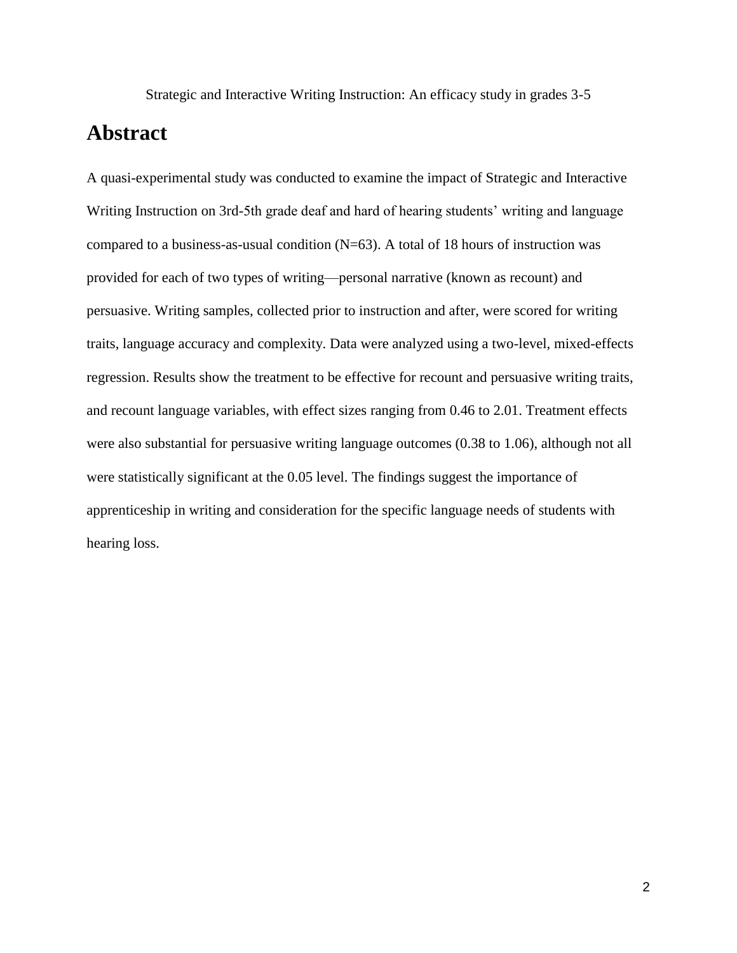Strategic and Interactive Writing Instruction: An efficacy study in grades 3-5

# **Abstract**

A quasi-experimental study was conducted to examine the impact of Strategic and Interactive Writing Instruction on 3rd-5th grade deaf and hard of hearing students' writing and language compared to a business-as-usual condition  $(N=63)$ . A total of 18 hours of instruction was provided for each of two types of writing—personal narrative (known as recount) and persuasive. Writing samples, collected prior to instruction and after, were scored for writing traits, language accuracy and complexity. Data were analyzed using a two-level, mixed-effects regression. Results show the treatment to be effective for recount and persuasive writing traits, and recount language variables, with effect sizes ranging from 0.46 to 2.01. Treatment effects were also substantial for persuasive writing language outcomes (0.38 to 1.06), although not all were statistically significant at the 0.05 level. The findings suggest the importance of apprenticeship in writing and consideration for the specific language needs of students with hearing loss.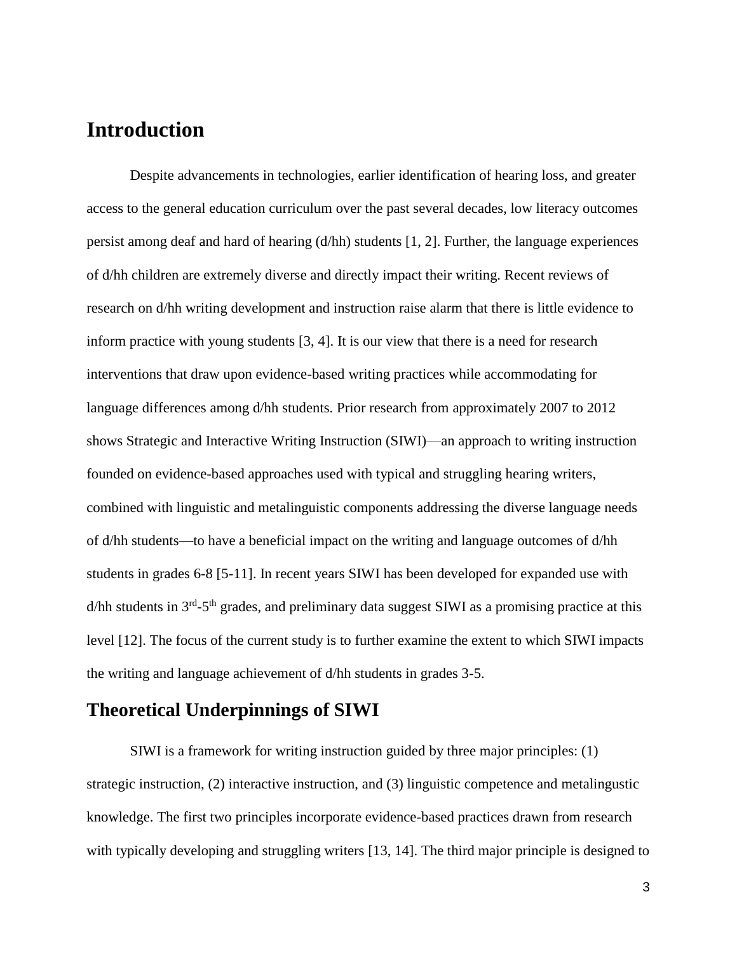# **Introduction**

Despite advancements in technologies, earlier identification of hearing loss, and greater access to the general education curriculum over the past several decades, low literacy outcomes persist among deaf and hard of hearing  $(d/hh)$  students [1, 2]. Further, the language experiences of d/hh children are extremely diverse and directly impact their writing. Recent reviews of research on d/hh writing development and instruction raise alarm that there is little evidence to inform practice with young students [3, 4]. It is our view that there is a need for research interventions that draw upon evidence-based writing practices while accommodating for language differences among d/hh students. Prior research from approximately 2007 to 2012 shows Strategic and Interactive Writing Instruction (SIWI)—an approach to writing instruction founded on evidence-based approaches used with typical and struggling hearing writers, combined with linguistic and metalinguistic components addressing the diverse language needs of d/hh students—to have a beneficial impact on the writing and language outcomes of d/hh students in grades 6-8 [5-11]. In recent years SIWI has been developed for expanded use with  $d/hh$  students in  $3<sup>rd</sup> - 5<sup>th</sup>$  grades, and preliminary data suggest SIWI as a promising practice at this level [12]. The focus of the current study is to further examine the extent to which SIWI impacts the writing and language achievement of d/hh students in grades 3-5.

## **Theoretical Underpinnings of SIWI**

SIWI is a framework for writing instruction guided by three major principles: (1) strategic instruction, (2) interactive instruction, and (3) linguistic competence and metalingustic knowledge. The first two principles incorporate evidence-based practices drawn from research with typically developing and struggling writers [13, 14]. The third major principle is designed to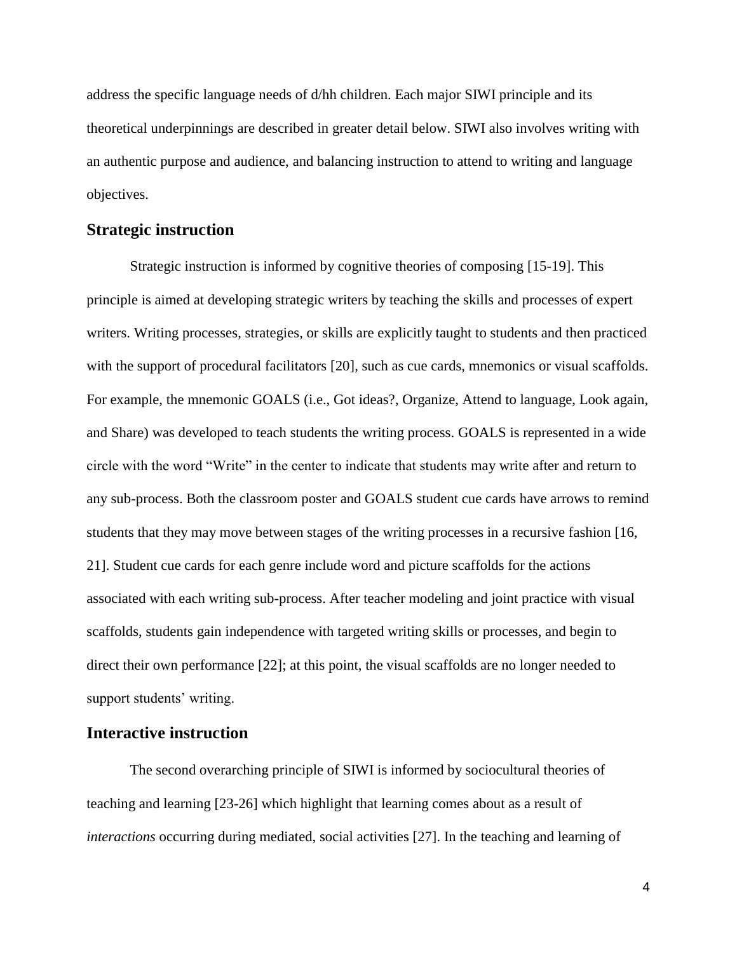address the specific language needs of d/hh children. Each major SIWI principle and its theoretical underpinnings are described in greater detail below. SIWI also involves writing with an authentic purpose and audience, and balancing instruction to attend to writing and language objectives.

#### **Strategic instruction**

Strategic instruction is informed by cognitive theories of composing [15-19]. This principle is aimed at developing strategic writers by teaching the skills and processes of expert writers. Writing processes, strategies, or skills are explicitly taught to students and then practiced with the support of procedural facilitators [20], such as cue cards, mnemonics or visual scaffolds. For example, the mnemonic GOALS (i.e., Got ideas?, Organize, Attend to language, Look again, and Share) was developed to teach students the writing process. GOALS is represented in a wide circle with the word "Write" in the center to indicate that students may write after and return to any sub-process. Both the classroom poster and GOALS student cue cards have arrows to remind students that they may move between stages of the writing processes in a recursive fashion [16, 21]. Student cue cards for each genre include word and picture scaffolds for the actions associated with each writing sub-process. After teacher modeling and joint practice with visual scaffolds, students gain independence with targeted writing skills or processes, and begin to direct their own performance [22]; at this point, the visual scaffolds are no longer needed to support students' writing.

#### **Interactive instruction**

The second overarching principle of SIWI is informed by sociocultural theories of teaching and learning [23-26] which highlight that learning comes about as a result of *interactions* occurring during mediated, social activities [27]. In the teaching and learning of

4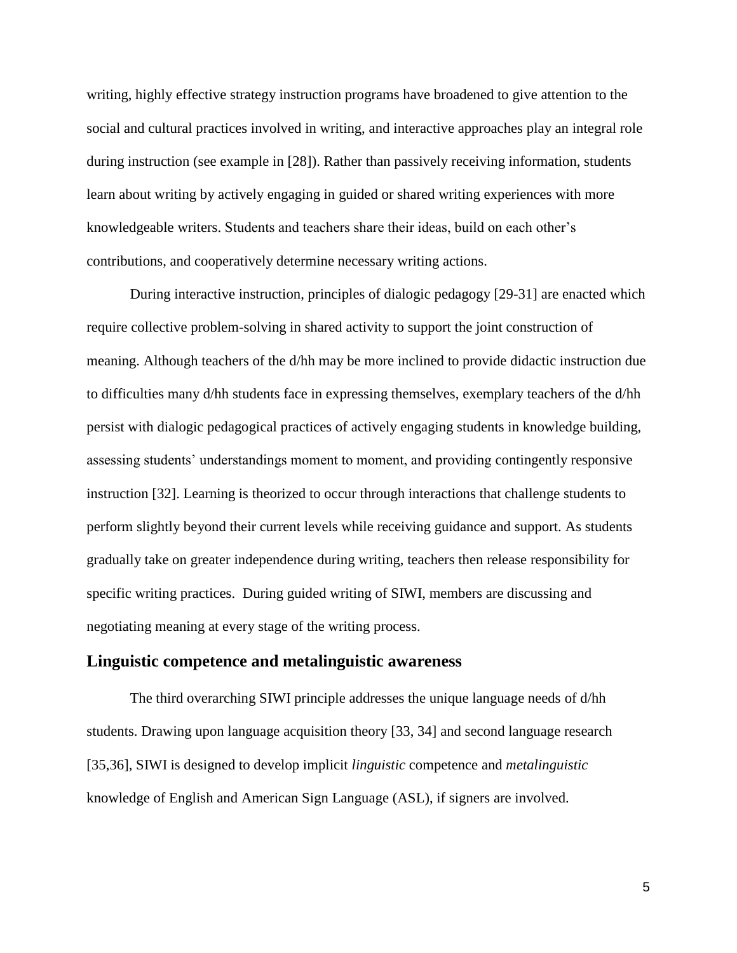writing, highly effective strategy instruction programs have broadened to give attention to the social and cultural practices involved in writing, and interactive approaches play an integral role during instruction (see example in [28]). Rather than passively receiving information, students learn about writing by actively engaging in guided or shared writing experiences with more knowledgeable writers. Students and teachers share their ideas, build on each other's contributions, and cooperatively determine necessary writing actions.

During interactive instruction, principles of dialogic pedagogy [29-31] are enacted which require collective problem-solving in shared activity to support the joint construction of meaning. Although teachers of the d/hh may be more inclined to provide didactic instruction due to difficulties many d/hh students face in expressing themselves, exemplary teachers of the d/hh persist with dialogic pedagogical practices of actively engaging students in knowledge building, assessing students' understandings moment to moment, and providing contingently responsive instruction [32]. Learning is theorized to occur through interactions that challenge students to perform slightly beyond their current levels while receiving guidance and support. As students gradually take on greater independence during writing, teachers then release responsibility for specific writing practices. During guided writing of SIWI, members are discussing and negotiating meaning at every stage of the writing process.

#### **Linguistic competence and metalinguistic awareness**

The third overarching SIWI principle addresses the unique language needs of d/hh students. Drawing upon language acquisition theory [33, 34] and second language research [35,36], SIWI is designed to develop implicit *linguistic* competence and *metalinguistic* knowledge of English and American Sign Language (ASL), if signers are involved.

5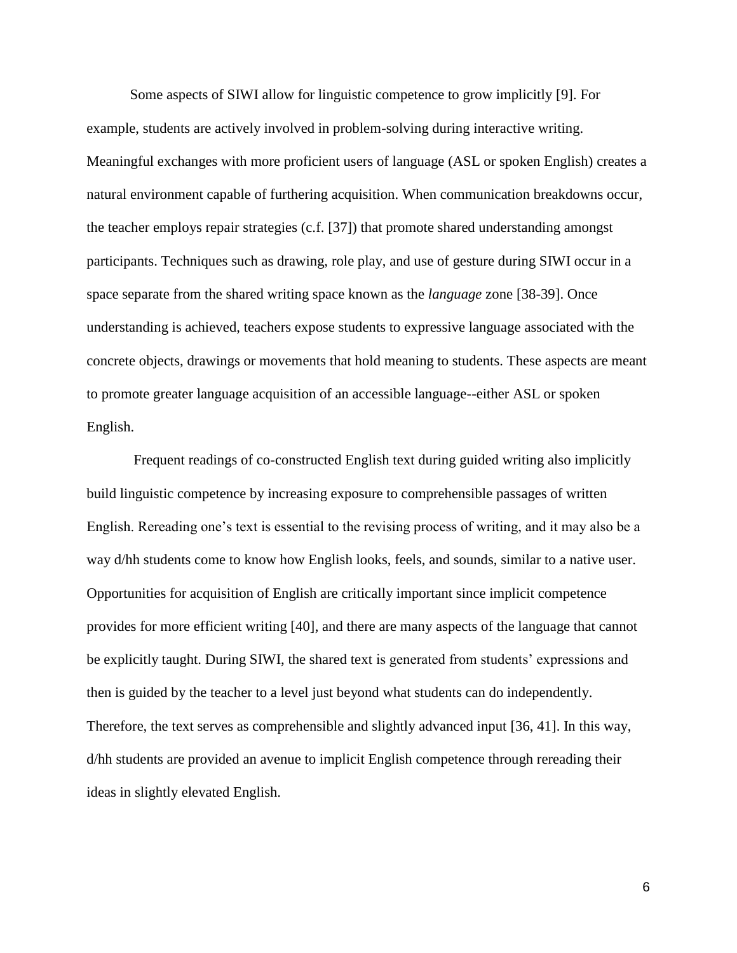Some aspects of SIWI allow for linguistic competence to grow implicitly [9]. For example, students are actively involved in problem-solving during interactive writing. Meaningful exchanges with more proficient users of language (ASL or spoken English) creates a natural environment capable of furthering acquisition. When communication breakdowns occur, the teacher employs repair strategies (c.f. [37]) that promote shared understanding amongst participants. Techniques such as drawing, role play, and use of gesture during SIWI occur in a space separate from the shared writing space known as the *language* zone [38-39]. Once understanding is achieved, teachers expose students to expressive language associated with the concrete objects, drawings or movements that hold meaning to students. These aspects are meant to promote greater language acquisition of an accessible language--either ASL or spoken English.

Frequent readings of co-constructed English text during guided writing also implicitly build linguistic competence by increasing exposure to comprehensible passages of written English. Rereading one's text is essential to the revising process of writing, and it may also be a way d/hh students come to know how English looks, feels, and sounds, similar to a native user. Opportunities for acquisition of English are critically important since implicit competence provides for more efficient writing [40], and there are many aspects of the language that cannot be explicitly taught. During SIWI, the shared text is generated from students' expressions and then is guided by the teacher to a level just beyond what students can do independently. Therefore, the text serves as comprehensible and slightly advanced input [36, 41]. In this way, d/hh students are provided an avenue to implicit English competence through rereading their ideas in slightly elevated English.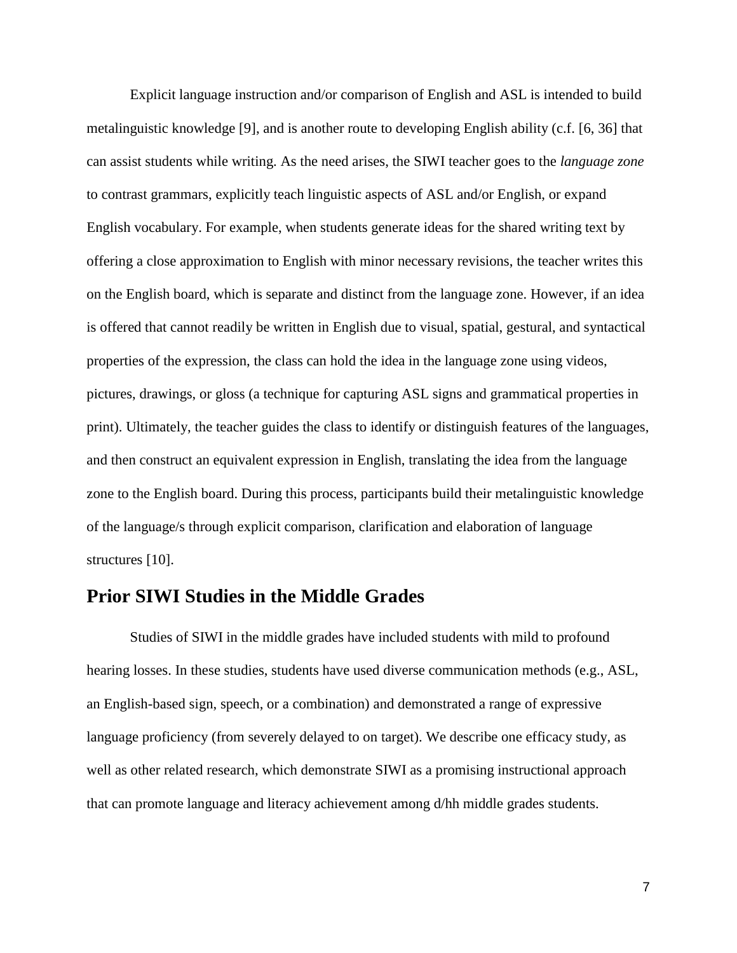Explicit language instruction and/or comparison of English and ASL is intended to build metalinguistic knowledge [9], and is another route to developing English ability (c.f. [6, 36] that can assist students while writing. As the need arises, the SIWI teacher goes to the *language zone*  to contrast grammars, explicitly teach linguistic aspects of ASL and/or English, or expand English vocabulary. For example, when students generate ideas for the shared writing text by offering a close approximation to English with minor necessary revisions, the teacher writes this on the English board, which is separate and distinct from the language zone. However, if an idea is offered that cannot readily be written in English due to visual, spatial, gestural, and syntactical properties of the expression, the class can hold the idea in the language zone using videos, pictures, drawings, or gloss (a technique for capturing ASL signs and grammatical properties in print). Ultimately, the teacher guides the class to identify or distinguish features of the languages, and then construct an equivalent expression in English, translating the idea from the language zone to the English board. During this process, participants build their metalinguistic knowledge of the language/s through explicit comparison, clarification and elaboration of language structures [10].

### **Prior SIWI Studies in the Middle Grades**

Studies of SIWI in the middle grades have included students with mild to profound hearing losses. In these studies, students have used diverse communication methods (e.g., ASL, an English-based sign, speech, or a combination) and demonstrated a range of expressive language proficiency (from severely delayed to on target). We describe one efficacy study, as well as other related research, which demonstrate SIWI as a promising instructional approach that can promote language and literacy achievement among d/hh middle grades students.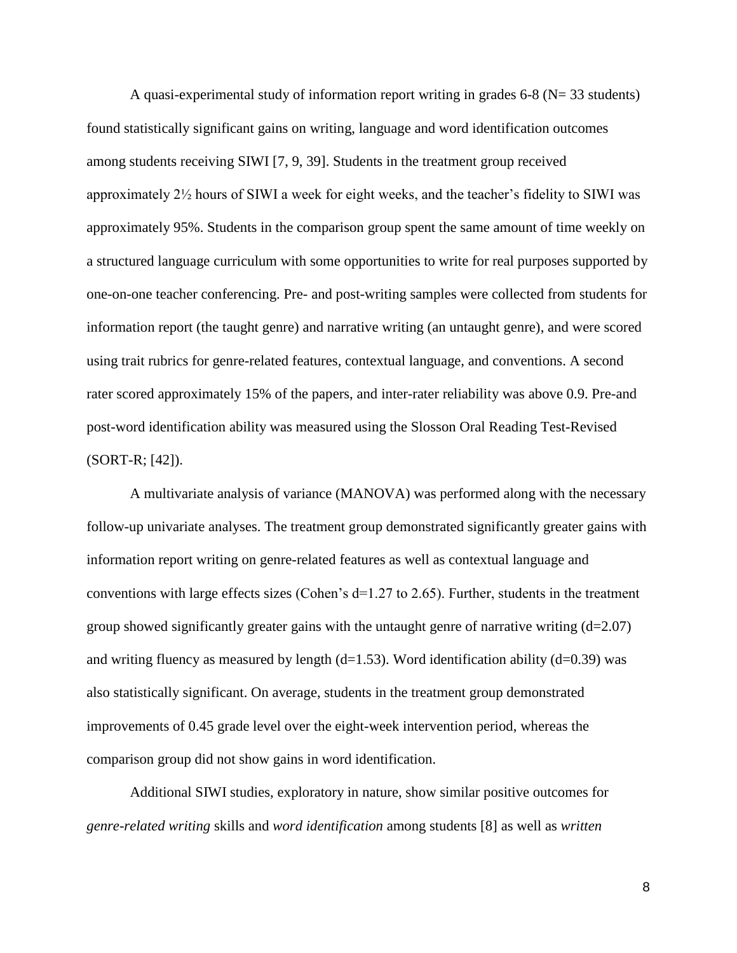A quasi-experimental study of information report writing in grades 6-8 (N= 33 students) found statistically significant gains on writing, language and word identification outcomes among students receiving SIWI [7, 9, 39]. Students in the treatment group received approximately 2½ hours of SIWI a week for eight weeks, and the teacher's fidelity to SIWI was approximately 95%. Students in the comparison group spent the same amount of time weekly on a structured language curriculum with some opportunities to write for real purposes supported by one-on-one teacher conferencing. Pre- and post-writing samples were collected from students for information report (the taught genre) and narrative writing (an untaught genre), and were scored using trait rubrics for genre-related features, contextual language, and conventions. A second rater scored approximately 15% of the papers, and inter-rater reliability was above 0.9. Pre-and post-word identification ability was measured using the Slosson Oral Reading Test-Revised (SORT-R; [42]).

A multivariate analysis of variance (MANOVA) was performed along with the necessary follow-up univariate analyses. The treatment group demonstrated significantly greater gains with information report writing on genre-related features as well as contextual language and conventions with large effects sizes (Cohen's  $d=1.27$  to 2.65). Further, students in the treatment group showed significantly greater gains with the untaught genre of narrative writing  $(d=2.07)$ and writing fluency as measured by length  $(d=1.53)$ . Word identification ability  $(d=0.39)$  was also statistically significant. On average, students in the treatment group demonstrated improvements of 0.45 grade level over the eight-week intervention period, whereas the comparison group did not show gains in word identification.

Additional SIWI studies, exploratory in nature, show similar positive outcomes for *genre-related writing* skills and *word identification* among students [8] as well as *written*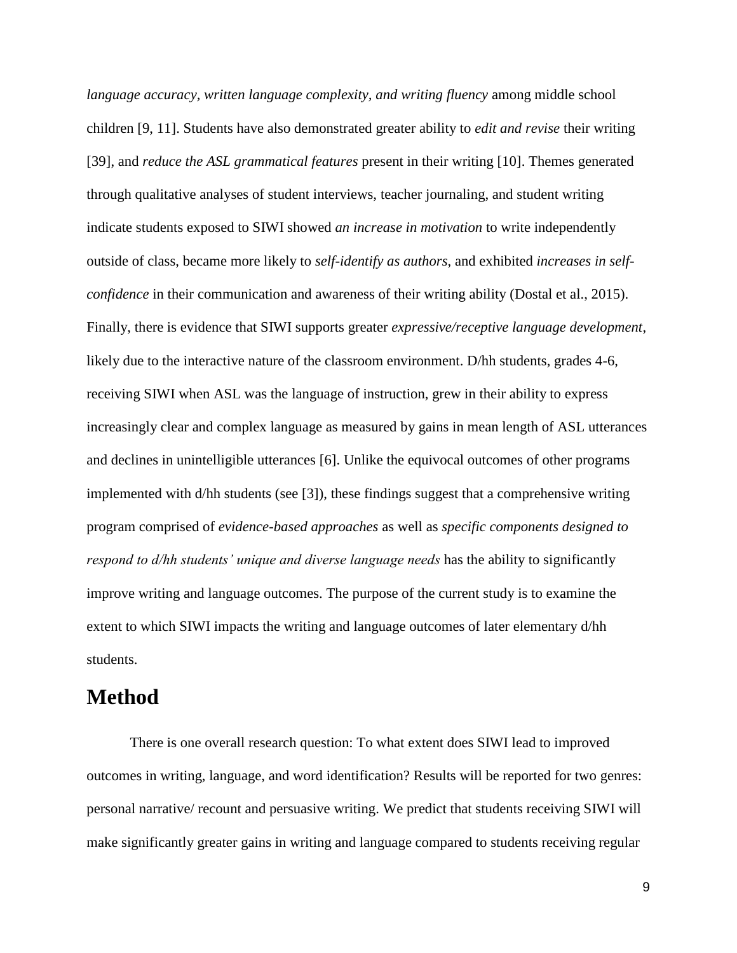*language accuracy, written language complexity, and writing fluency among middle school* children [9, 11]. Students have also demonstrated greater ability to *edit and revise* their writing [39], and *reduce the ASL grammatical features* present in their writing [10]. Themes generated through qualitative analyses of student interviews, teacher journaling, and student writing indicate students exposed to SIWI showed *an increase in motivation* to write independently outside of class, became more likely to *self-identify as authors*, and exhibited *increases in selfconfidence* in their communication and awareness of their writing ability (Dostal et al., 2015). Finally, there is evidence that SIWI supports greater *expressive/receptive language development*, likely due to the interactive nature of the classroom environment. D/hh students, grades 4-6, receiving SIWI when ASL was the language of instruction, grew in their ability to express increasingly clear and complex language as measured by gains in mean length of ASL utterances and declines in unintelligible utterances [6]. Unlike the equivocal outcomes of other programs implemented with d/hh students (see [3]), these findings suggest that a comprehensive writing program comprised of *evidence-based approaches* as well as *specific components designed to respond to d/hh students' unique and diverse language needs* has the ability to significantly improve writing and language outcomes. The purpose of the current study is to examine the extent to which SIWI impacts the writing and language outcomes of later elementary d/hh students.

## **Method**

There is one overall research question: To what extent does SIWI lead to improved outcomes in writing, language, and word identification? Results will be reported for two genres: personal narrative/ recount and persuasive writing. We predict that students receiving SIWI will make significantly greater gains in writing and language compared to students receiving regular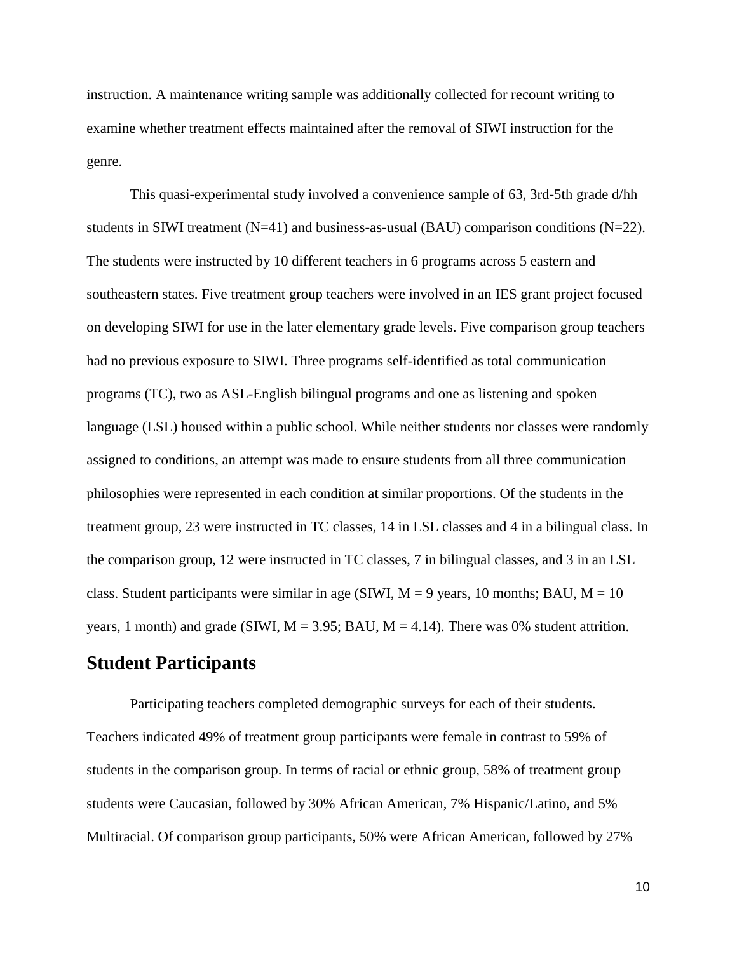instruction. A maintenance writing sample was additionally collected for recount writing to examine whether treatment effects maintained after the removal of SIWI instruction for the genre.

This quasi-experimental study involved a convenience sample of 63, 3rd-5th grade d/hh students in SIWI treatment  $(N=41)$  and business-as-usual  $(BAU)$  comparison conditions  $(N=22)$ . The students were instructed by 10 different teachers in 6 programs across 5 eastern and southeastern states. Five treatment group teachers were involved in an IES grant project focused on developing SIWI for use in the later elementary grade levels. Five comparison group teachers had no previous exposure to SIWI. Three programs self-identified as total communication programs (TC), two as ASL-English bilingual programs and one as listening and spoken language (LSL) housed within a public school. While neither students nor classes were randomly assigned to conditions, an attempt was made to ensure students from all three communication philosophies were represented in each condition at similar proportions. Of the students in the treatment group, 23 were instructed in TC classes, 14 in LSL classes and 4 in a bilingual class. In the comparison group, 12 were instructed in TC classes, 7 in bilingual classes, and 3 in an LSL class. Student participants were similar in age (SIWI,  $M = 9$  years, 10 months; BAU,  $M = 10$ years, 1 month) and grade (SIWI,  $M = 3.95$ ; BAU,  $M = 4.14$ ). There was 0% student attrition.

### **Student Participants**

Participating teachers completed demographic surveys for each of their students. Teachers indicated 49% of treatment group participants were female in contrast to 59% of students in the comparison group. In terms of racial or ethnic group, 58% of treatment group students were Caucasian, followed by 30% African American, 7% Hispanic/Latino, and 5% Multiracial. Of comparison group participants, 50% were African American, followed by 27%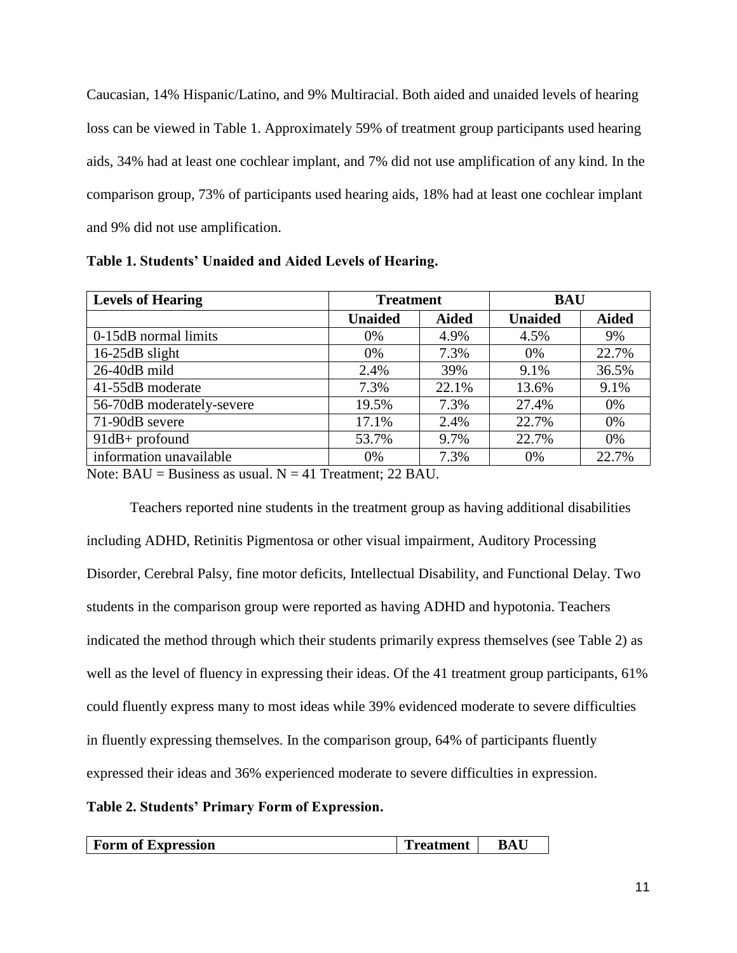Caucasian, 14% Hispanic/Latino, and 9% Multiracial. Both aided and unaided levels of hearing loss can be viewed in Table 1. Approximately 59% of treatment group participants used hearing aids, 34% had at least one cochlear implant, and 7% did not use amplification of any kind. In the comparison group, 73% of participants used hearing aids, 18% had at least one cochlear implant and 9% did not use amplification.

| <b>Levels of Hearing</b>                                                    | <b>Treatment</b> |              | <b>BAU</b>     |              |
|-----------------------------------------------------------------------------|------------------|--------------|----------------|--------------|
|                                                                             | <b>Unaided</b>   | <b>Aided</b> | <b>Unaided</b> | <b>Aided</b> |
| 0-15dB normal limits                                                        | $0\%$            | 4.9%         | 4.5%           | 9%           |
| $16-25dB$ slight                                                            | 0%               | 7.3%         | 0%             | 22.7%        |
| 26-40dB mild                                                                | 2.4%             | 39%          | 9.1%           | 36.5%        |
| 41-55dB moderate                                                            | 7.3%             | 22.1%        | 13.6%          | 9.1%         |
| 56-70dB moderately-severe                                                   | 19.5%            | 7.3%         | 27.4%          | 0%           |
| 71-90dB severe                                                              | 17.1%            | 2.4%         | 22.7%          | 0%           |
| $91dB +$ profound                                                           | 53.7%            | 9.7%         | 22.7%          | 0%           |
| information unavailable                                                     | $0\%$            | 7.3%         | 0%             | 22.7%        |
| Note: $R\Lambda H$ – Rusiness as usual $N - 41$ Treatment: 22 R $\Lambda H$ |                  |              |                |              |

**Table 1. Students' Unaided and Aided Levels of Hearing.**

Note:  $BAU = Business$  as usual.  $N = 41$  Treatment; 22 BAU.

Teachers reported nine students in the treatment group as having additional disabilities including ADHD, Retinitis Pigmentosa or other visual impairment, Auditory Processing Disorder, Cerebral Palsy, fine motor deficits, Intellectual Disability, and Functional Delay. Two students in the comparison group were reported as having ADHD and hypotonia. Teachers indicated the method through which their students primarily express themselves (see Table 2) as well as the level of fluency in expressing their ideas. Of the 41 treatment group participants, 61% could fluently express many to most ideas while 39% evidenced moderate to severe difficulties in fluently expressing themselves. In the comparison group, 64% of participants fluently expressed their ideas and 36% experienced moderate to severe difficulties in expression.

#### **Table 2. Students' Primary Form of Expression.**

| Form of Expression | <b>reatment</b> | RAI |
|--------------------|-----------------|-----|
|--------------------|-----------------|-----|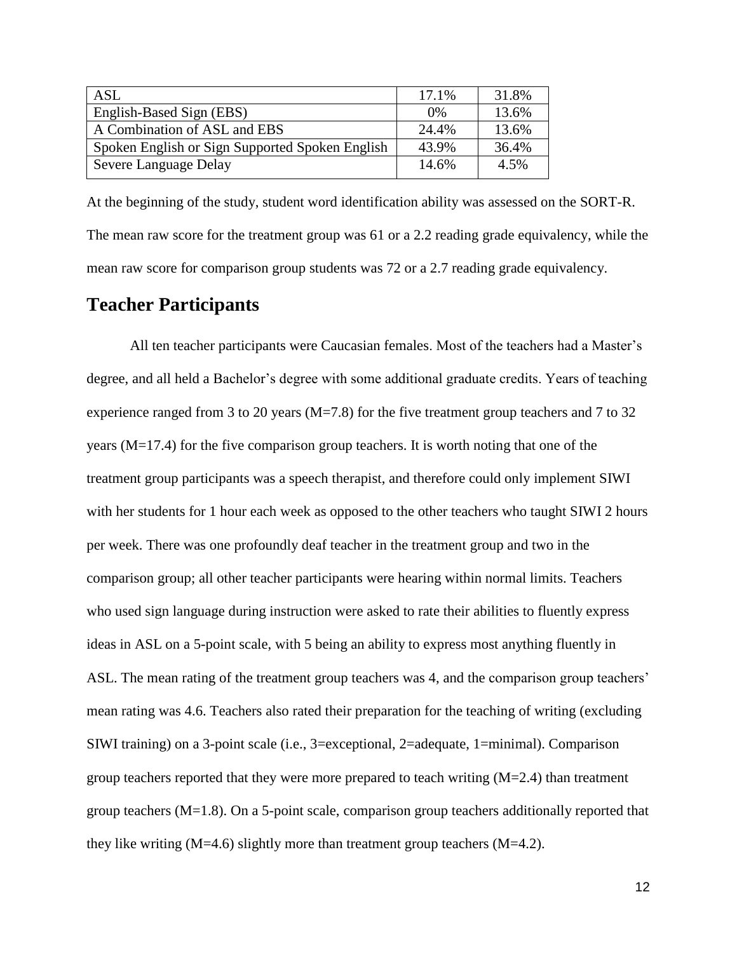| <b>ASL</b>                                      | 17.1% | 31.8% |
|-------------------------------------------------|-------|-------|
| English-Based Sign (EBS)                        | 0%    | 13.6% |
| A Combination of ASL and EBS                    | 24.4% | 13.6% |
| Spoken English or Sign Supported Spoken English | 43.9% | 36.4% |
| Severe Language Delay                           | 14.6% | 4.5%  |

At the beginning of the study, student word identification ability was assessed on the SORT-R. The mean raw score for the treatment group was 61 or a 2.2 reading grade equivalency, while the mean raw score for comparison group students was 72 or a 2.7 reading grade equivalency.

### **Teacher Participants**

All ten teacher participants were Caucasian females. Most of the teachers had a Master's degree, and all held a Bachelor's degree with some additional graduate credits. Years of teaching experience ranged from 3 to 20 years ( $M = 7.8$ ) for the five treatment group teachers and 7 to 32 years (M=17.4) for the five comparison group teachers. It is worth noting that one of the treatment group participants was a speech therapist, and therefore could only implement SIWI with her students for 1 hour each week as opposed to the other teachers who taught SIWI 2 hours per week. There was one profoundly deaf teacher in the treatment group and two in the comparison group; all other teacher participants were hearing within normal limits. Teachers who used sign language during instruction were asked to rate their abilities to fluently express ideas in ASL on a 5-point scale, with 5 being an ability to express most anything fluently in ASL. The mean rating of the treatment group teachers was 4, and the comparison group teachers' mean rating was 4.6. Teachers also rated their preparation for the teaching of writing (excluding SIWI training) on a 3-point scale (i.e., 3=exceptional, 2=adequate, 1=minimal). Comparison group teachers reported that they were more prepared to teach writing  $(M=2.4)$  than treatment group teachers (M=1.8). On a 5-point scale, comparison group teachers additionally reported that they like writing  $(M=4.6)$  slightly more than treatment group teachers  $(M=4.2)$ .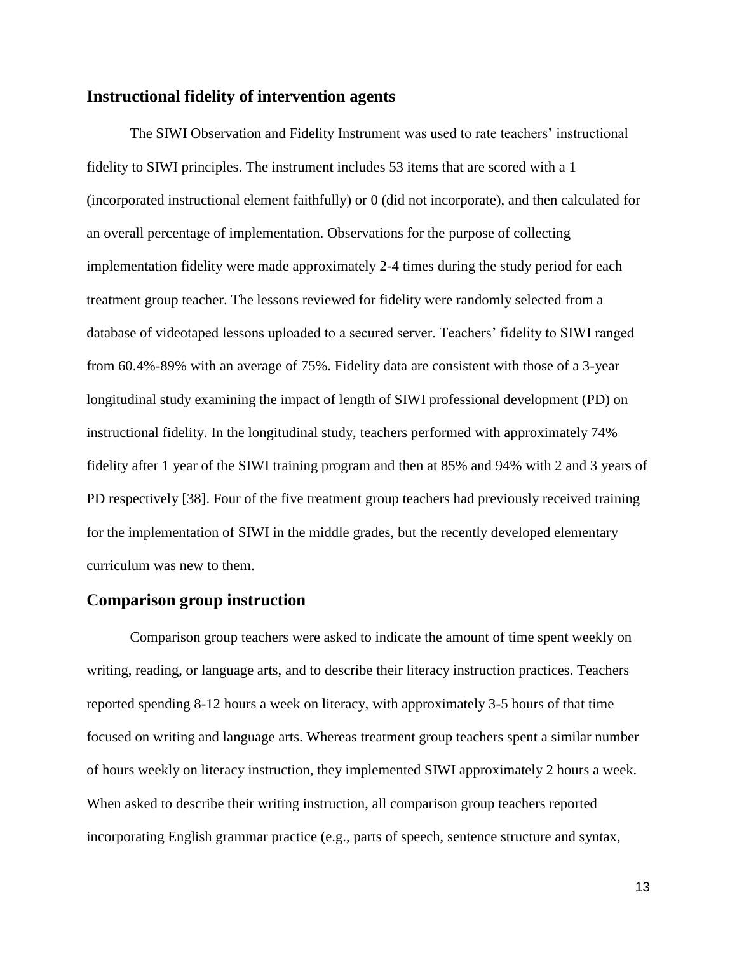#### **Instructional fidelity of intervention agents**

The SIWI Observation and Fidelity Instrument was used to rate teachers' instructional fidelity to SIWI principles. The instrument includes 53 items that are scored with a 1 (incorporated instructional element faithfully) or 0 (did not incorporate), and then calculated for an overall percentage of implementation. Observations for the purpose of collecting implementation fidelity were made approximately 2-4 times during the study period for each treatment group teacher. The lessons reviewed for fidelity were randomly selected from a database of videotaped lessons uploaded to a secured server. Teachers' fidelity to SIWI ranged from 60.4%-89% with an average of 75%. Fidelity data are consistent with those of a 3-year longitudinal study examining the impact of length of SIWI professional development (PD) on instructional fidelity. In the longitudinal study, teachers performed with approximately 74% fidelity after 1 year of the SIWI training program and then at 85% and 94% with 2 and 3 years of PD respectively [38]. Four of the five treatment group teachers had previously received training for the implementation of SIWI in the middle grades, but the recently developed elementary curriculum was new to them.

#### **Comparison group instruction**

Comparison group teachers were asked to indicate the amount of time spent weekly on writing, reading, or language arts, and to describe their literacy instruction practices. Teachers reported spending 8-12 hours a week on literacy, with approximately 3-5 hours of that time focused on writing and language arts. Whereas treatment group teachers spent a similar number of hours weekly on literacy instruction, they implemented SIWI approximately 2 hours a week. When asked to describe their writing instruction, all comparison group teachers reported incorporating English grammar practice (e.g., parts of speech, sentence structure and syntax,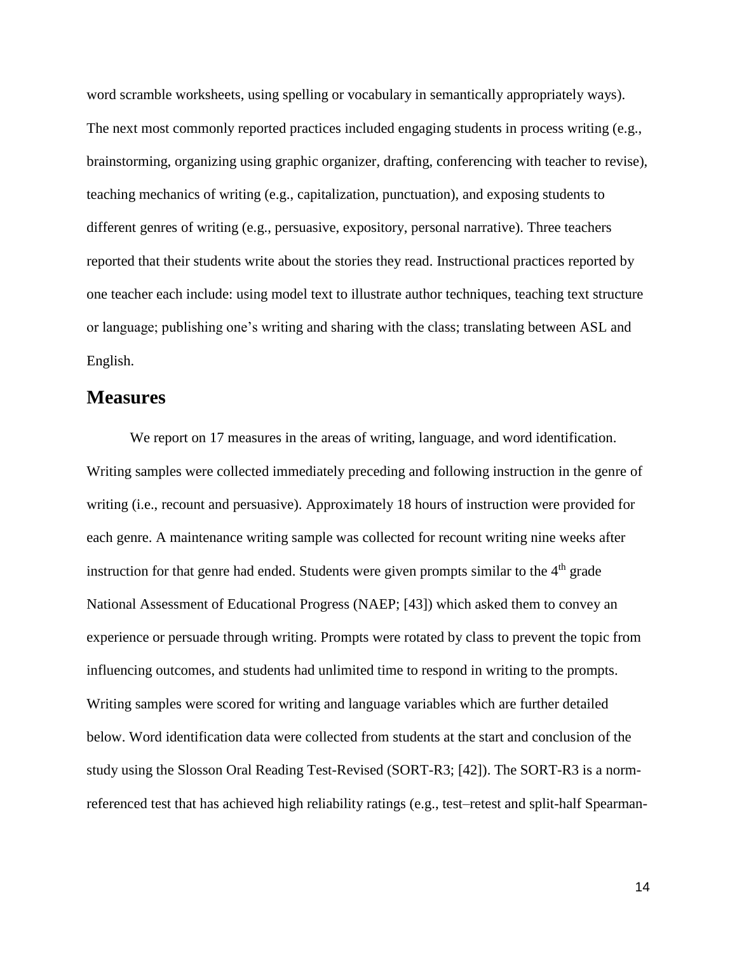word scramble worksheets, using spelling or vocabulary in semantically appropriately ways). The next most commonly reported practices included engaging students in process writing (e.g., brainstorming, organizing using graphic organizer, drafting, conferencing with teacher to revise), teaching mechanics of writing (e.g., capitalization, punctuation), and exposing students to different genres of writing (e.g., persuasive, expository, personal narrative). Three teachers reported that their students write about the stories they read. Instructional practices reported by one teacher each include: using model text to illustrate author techniques, teaching text structure or language; publishing one's writing and sharing with the class; translating between ASL and English.

#### **Measures**

We report on 17 measures in the areas of writing, language, and word identification. Writing samples were collected immediately preceding and following instruction in the genre of writing (i.e., recount and persuasive). Approximately 18 hours of instruction were provided for each genre. A maintenance writing sample was collected for recount writing nine weeks after instruction for that genre had ended. Students were given prompts similar to the  $4<sup>th</sup>$  grade National Assessment of Educational Progress (NAEP; [43]) which asked them to convey an experience or persuade through writing. Prompts were rotated by class to prevent the topic from influencing outcomes, and students had unlimited time to respond in writing to the prompts. Writing samples were scored for writing and language variables which are further detailed below. Word identification data were collected from students at the start and conclusion of the study using the Slosson Oral Reading Test-Revised (SORT-R3; [42]). The SORT-R3 is a normreferenced test that has achieved high reliability ratings (e.g., test–retest and split-half Spearman-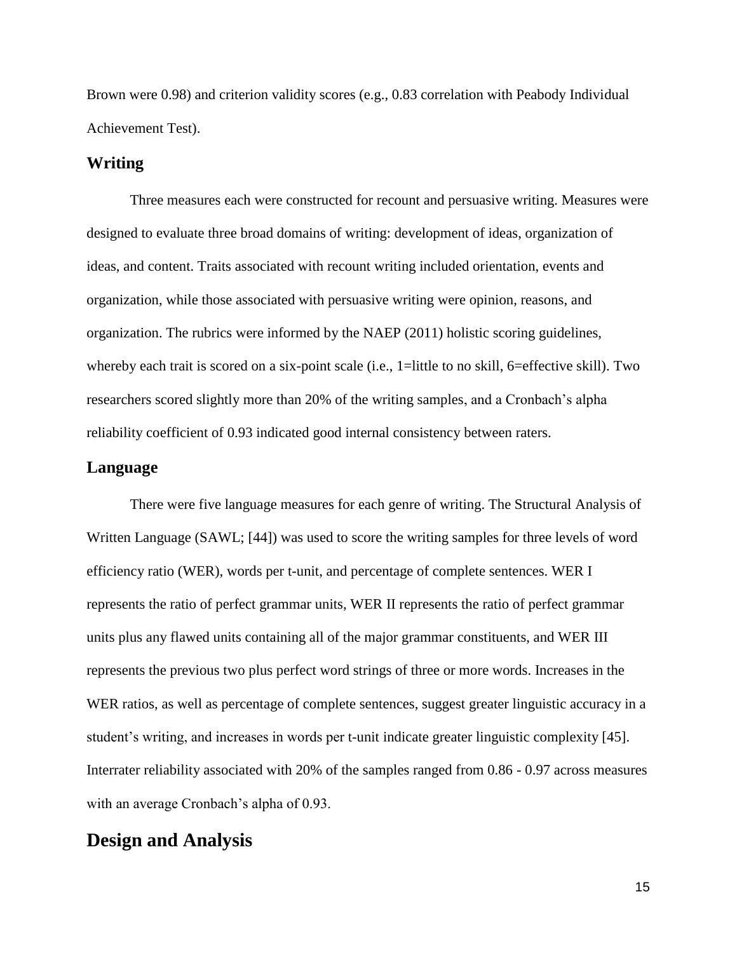Brown were 0.98) and criterion validity scores (e.g., 0.83 correlation with Peabody Individual Achievement Test).

#### **Writing**

Three measures each were constructed for recount and persuasive writing. Measures were designed to evaluate three broad domains of writing: development of ideas, organization of ideas, and content. Traits associated with recount writing included orientation, events and organization, while those associated with persuasive writing were opinion, reasons, and organization. The rubrics were informed by the NAEP (2011) holistic scoring guidelines, whereby each trait is scored on a six-point scale (i.e., 1=little to no skill, 6=effective skill). Two researchers scored slightly more than 20% of the writing samples, and a Cronbach's alpha reliability coefficient of 0.93 indicated good internal consistency between raters.

#### **Language**

There were five language measures for each genre of writing. The Structural Analysis of Written Language (SAWL; [44]) was used to score the writing samples for three levels of word efficiency ratio (WER), words per t-unit, and percentage of complete sentences. WER I represents the ratio of perfect grammar units, WER II represents the ratio of perfect grammar units plus any flawed units containing all of the major grammar constituents, and WER III represents the previous two plus perfect word strings of three or more words. Increases in the WER ratios, as well as percentage of complete sentences, suggest greater linguistic accuracy in a student's writing, and increases in words per t-unit indicate greater linguistic complexity [45]. Interrater reliability associated with 20% of the samples ranged from 0.86 - 0.97 across measures with an average Cronbach's alpha of 0.93.

### **Design and Analysis**

15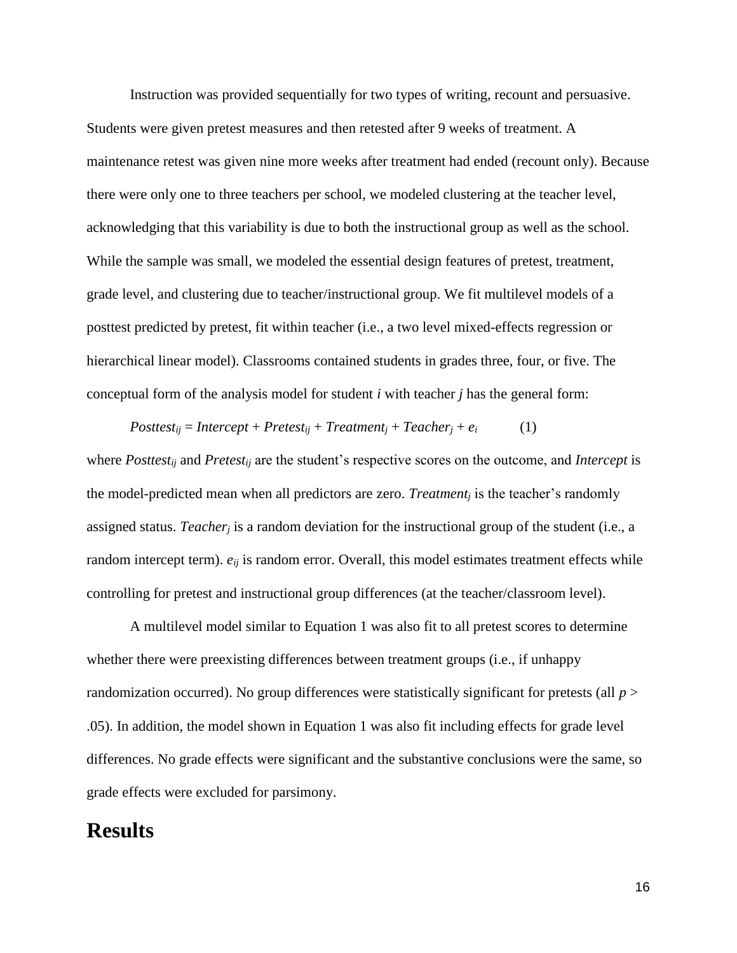Instruction was provided sequentially for two types of writing, recount and persuasive. Students were given pretest measures and then retested after 9 weeks of treatment. A maintenance retest was given nine more weeks after treatment had ended (recount only). Because there were only one to three teachers per school, we modeled clustering at the teacher level, acknowledging that this variability is due to both the instructional group as well as the school. While the sample was small, we modeled the essential design features of pretest, treatment, grade level, and clustering due to teacher/instructional group. We fit multilevel models of a posttest predicted by pretest, fit within teacher (i.e., a two level mixed-effects regression or hierarchical linear model). Classrooms contained students in grades three, four, or five. The conceptual form of the analysis model for student *i* with teacher *j* has the general form:

$$
Posttest_{ij} = Intercept + Pretest_{ij} + Treatment_j + Teacher_j + e_i
$$
 (1)

where *Posttestij* and *Pretestij* are the student's respective scores on the outcome, and *Intercept* is the model-predicted mean when all predictors are zero. *Treatment<sup>j</sup>* is the teacher's randomly assigned status. *Teacher<sup>j</sup>* is a random deviation for the instructional group of the student (i.e., a random intercept term).  $e_{ij}$  is random error. Overall, this model estimates treatment effects while controlling for pretest and instructional group differences (at the teacher/classroom level).

A multilevel model similar to Equation 1 was also fit to all pretest scores to determine whether there were preexisting differences between treatment groups (i.e., if unhappy randomization occurred). No group differences were statistically significant for pretests (all *p* > .05). In addition, the model shown in Equation 1 was also fit including effects for grade level differences. No grade effects were significant and the substantive conclusions were the same, so grade effects were excluded for parsimony.

### **Results**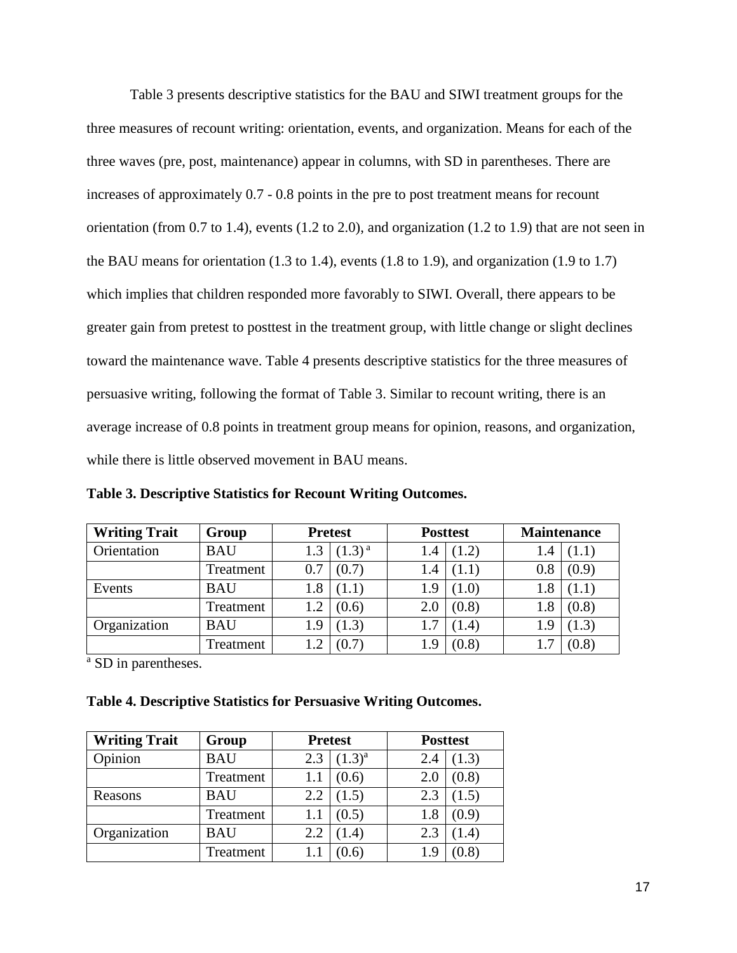Table 3 presents descriptive statistics for the BAU and SIWI treatment groups for the three measures of recount writing: orientation, events, and organization. Means for each of the three waves (pre, post, maintenance) appear in columns, with SD in parentheses. There are increases of approximately 0.7 - 0.8 points in the pre to post treatment means for recount orientation (from 0.7 to 1.4), events (1.2 to 2.0), and organization (1.2 to 1.9) that are not seen in the BAU means for orientation  $(1.3 \text{ to } 1.4)$ , events  $(1.8 \text{ to } 1.9)$ , and organization  $(1.9 \text{ to } 1.7)$ which implies that children responded more favorably to SIWI. Overall, there appears to be greater gain from pretest to posttest in the treatment group, with little change or slight declines toward the maintenance wave. Table 4 presents descriptive statistics for the three measures of persuasive writing, following the format of Table 3. Similar to recount writing, there is an average increase of 0.8 points in treatment group means for opinion, reasons, and organization, while there is little observed movement in BAU means.

**Table 3. Descriptive Statistics for Recount Writing Outcomes.**

| <b>Writing Trait</b> | Group      | <b>Pretest</b> |             | <b>Posttest</b> |       | <b>Maintenance</b> |       |  |
|----------------------|------------|----------------|-------------|-----------------|-------|--------------------|-------|--|
| Orientation          | <b>BAU</b> | 1.3            | $(1.3)^{a}$ | 1.4             | (1.2) | 1.4                |       |  |
|                      | Treatment  | 0.7            | (0.7)       | 1.4             | (1.1) | 0.8                | (0.9) |  |
| Events               | <b>BAU</b> | 1.8            | (1.1)       | 1.9             | (1.0) | 1.8                |       |  |
|                      | Treatment  | 1.2            | (0.6)       | 2.0             | (0.8) | 1.8                | (0.8) |  |
| Organization         | <b>BAU</b> | 1.9            | (1.3)       | 1.7             | (1.4) | 1.9                | 1.3   |  |
|                      | Treatment  |                | (0.7)       | 1.9             | (0.8) |                    | (0.8) |  |

<sup>a</sup> SD in parentheses.

|  |  | Table 4. Descriptive Statistics for Persuasive Writing Outcomes. |  |
|--|--|------------------------------------------------------------------|--|
|  |  |                                                                  |  |

| <b>Writing Trait</b> | Group      | <b>Pretest</b> |             | <b>Posttest</b> |       |  |
|----------------------|------------|----------------|-------------|-----------------|-------|--|
| Opinion              | <b>BAU</b> | 2.3            | $(1.3)^{a}$ | 2.4             | (1.3) |  |
|                      | Treatment  | $1.1\,$        | (0.6)       | 2.0             | (0.8) |  |
| Reasons              | <b>BAU</b> | 2.2            | (1.5)       | 2.3             | (1.5) |  |
|                      | Treatment  | $1.1\,$        | (0.5)       | 1.8             | (0.9) |  |
| Organization         | <b>BAU</b> | 2.2            | (1.4)       | 2.3             | (1.4) |  |
|                      | Treatment  | 1.1            | (0.6)       | 1.9             |       |  |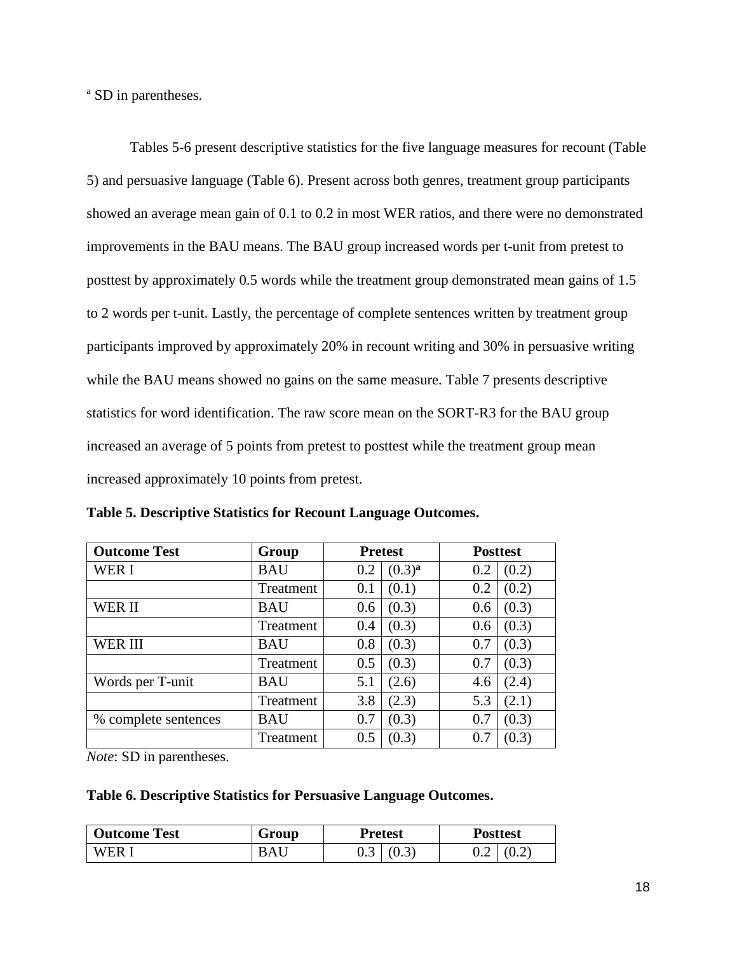<sup>a</sup> SD in parentheses.

Tables 5-6 present descriptive statistics for the five language measures for recount (Table 5) and persuasive language (Table 6). Present across both genres, treatment group participants showed an average mean gain of 0.1 to 0.2 in most WER ratios, and there were no demonstrated improvements in the BAU means. The BAU group increased words per t-unit from pretest to posttest by approximately 0.5 words while the treatment group demonstrated mean gains of 1.5 to 2 words per t-unit. Lastly, the percentage of complete sentences written by treatment group participants improved by approximately 20% in recount writing and 30% in persuasive writing while the BAU means showed no gains on the same measure. Table 7 presents descriptive statistics for word identification. The raw score mean on the SORT-R3 for the BAU group increased an average of 5 points from pretest to posttest while the treatment group mean increased approximately 10 points from pretest.

| <b>Outcome Test</b>  | Group      | <b>Pretest</b> |             |     | <b>Posttest</b> |
|----------------------|------------|----------------|-------------|-----|-----------------|
| WER I                | <b>BAU</b> | 0.2            | $(0.3)^{a}$ | 0.2 | (0.2)           |
|                      | Treatment  | 0.1            | (0.1)       | 0.2 | (0.2)           |
| WER II               | BAU        | 0.6            | (0.3)       | 0.6 | (0.3)           |
|                      | Treatment  | 0.4            | (0.3)       | 0.6 | (0.3)           |
| WER III              | <b>BAU</b> | 0.8            | (0.3)       | 0.7 | (0.3)           |
|                      | Treatment  | 0.5            | (0.3)       | 0.7 | (0.3)           |
| Words per T-unit     | <b>BAU</b> | 5.1            | (2.6)       | 4.6 | (2.4)           |
|                      | Treatment  | 3.8            | (2.3)       | 5.3 | (2.1)           |
| % complete sentences | <b>BAU</b> | 0.7            | (0.3)       | 0.7 | (0.3)           |
|                      | Treatment  | 0.5            | (0.3)       | 0.7 | (0.3)           |

**Table 5. Descriptive Statistics for Recount Language Outcomes.**

*Note*: SD in parentheses.

#### **Table 6. Descriptive Statistics for Persuasive Language Outcomes.**

| <b>Outcome Test</b> | Group      | <b>Pretest</b> |                  | <b>Posttest</b> |       |
|---------------------|------------|----------------|------------------|-----------------|-------|
| WER I               | <b>BAU</b> |                | $0.3 \mid (0.3)$ | ∪.∠             | (0.2) |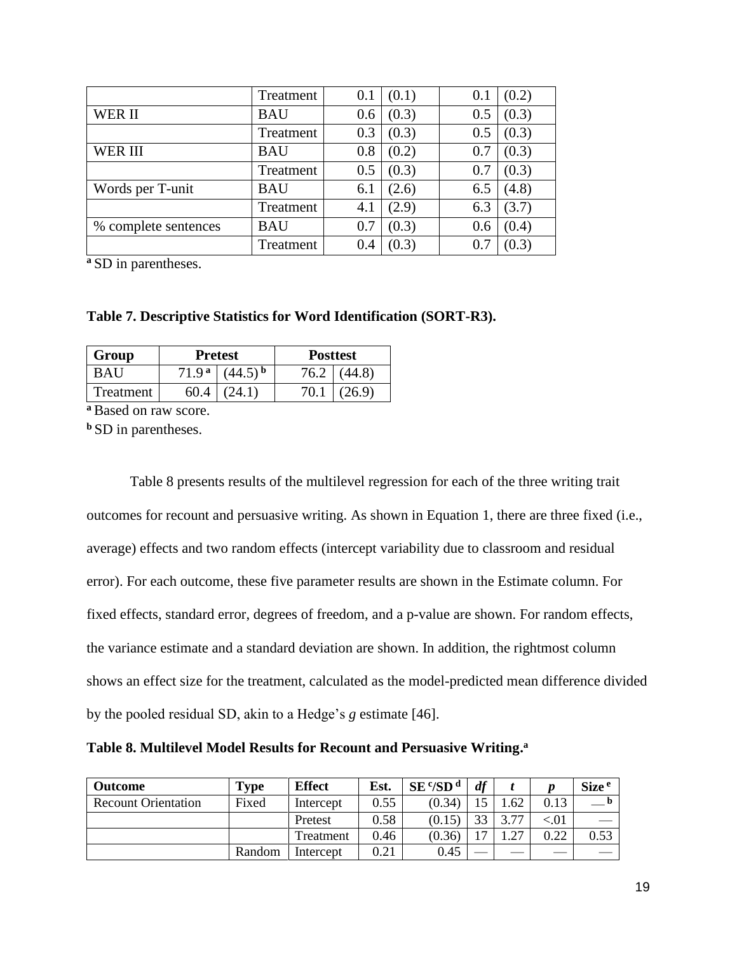|                      | Treatment  | 0.1 | (0.1) | 0.  | (0.2) |
|----------------------|------------|-----|-------|-----|-------|
| WER II               | <b>BAU</b> | 0.6 | (0.3) | 0.5 | (0.3) |
|                      | Treatment  | 0.3 | (0.3) | 0.5 | (0.3) |
| WER III              | <b>BAU</b> | 0.8 | (0.2) | 0.7 | (0.3) |
|                      | Treatment  | 0.5 | (0.3) | 0.7 | (0.3) |
| Words per T-unit     | <b>BAU</b> | 6.1 | (2.6) | 6.5 | (4.8) |
|                      | Treatment  | 4.1 | (2.9) | 6.3 | (3.7) |
| % complete sentences | <b>BAU</b> | 0.7 | (0.3) | 0.6 | (0.4) |
|                      | Treatment  | 0.4 | (0.3) | 0.7 | (0.3) |

**<sup>a</sup>**SD in parentheses.

#### **Table 7. Descriptive Statistics for Word Identification (SORT-R3).**

| Group     |                   | <b>Pretest</b> | <b>Posttest</b> |        |
|-----------|-------------------|----------------|-----------------|--------|
| BAU       | 71.9 <sup>a</sup> |                | 76.2            | (44.8) |
| Treatment |                   |                |                 | 26 Q   |

**<sup>a</sup>**Based on raw score.

**b** SD in parentheses.

Table 8 presents results of the multilevel regression for each of the three writing trait outcomes for recount and persuasive writing. As shown in Equation 1, there are three fixed (i.e., average) effects and two random effects (intercept variability due to classroom and residual error). For each outcome, these five parameter results are shown in the Estimate column. For fixed effects, standard error, degrees of freedom, and a p-value are shown. For random effects, the variance estimate and a standard deviation are shown. In addition, the rightmost column shows an effect size for the treatment, calculated as the model-predicted mean difference divided by the pooled residual SD, akin to a Hedge's *g* estimate [46].

| Table 8. Multilevel Model Results for Recount and Persuasive Writing. <sup>a</sup> |  |  |
|------------------------------------------------------------------------------------|--|--|
|------------------------------------------------------------------------------------|--|--|

| <b>Outcome</b>             | <b>Type</b> | <b>Effect</b> | Est. | $SE^c/SD^d$ | df                       |          |         | Size <sup>e</sup> |
|----------------------------|-------------|---------------|------|-------------|--------------------------|----------|---------|-------------------|
| <b>Recount Orientation</b> | Fixed       | Intercept     | 0.55 | (0.34)      |                          | .62      | 0.13    |                   |
|                            |             | Pretest       | 0.58 | (0.15)      | 22                       | 377      | ${<}01$ |                   |
|                            |             | Treatment     | 0.46 | (0.36)      | $\overline{\phantom{a}}$ | $\gamma$ | 0.22    | 0.53              |
|                            | Random      | Intercept     | 0.21 | 0.45        |                          |          |         |                   |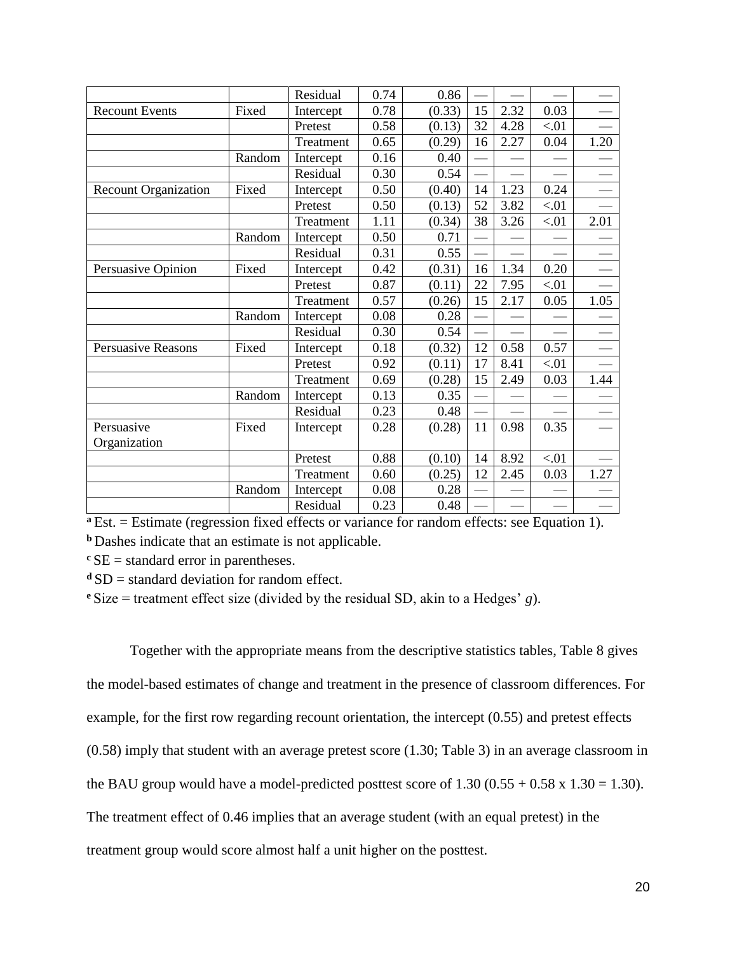|                             |        | Residual  | 0.74 | 0.86   |    |      |      |      |
|-----------------------------|--------|-----------|------|--------|----|------|------|------|
| <b>Recount Events</b>       | Fixed  | Intercept | 0.78 | (0.33) | 15 | 2.32 | 0.03 |      |
|                             |        | Pretest   | 0.58 | (0.13) | 32 | 4.28 | < 01 |      |
|                             |        | Treatment | 0.65 | (0.29) | 16 | 2.27 | 0.04 | 1.20 |
|                             | Random | Intercept | 0.16 | 0.40   |    |      |      |      |
|                             |        | Residual  | 0.30 | 0.54   |    |      |      |      |
| <b>Recount Organization</b> | Fixed  | Intercept | 0.50 | (0.40) | 14 | 1.23 | 0.24 |      |
|                             |        | Pretest   | 0.50 | (0.13) | 52 | 3.82 | < 01 |      |
|                             |        | Treatment | 1.11 | (0.34) | 38 | 3.26 | < 01 | 2.01 |
|                             | Random | Intercept | 0.50 | 0.71   |    |      |      |      |
|                             |        | Residual  | 0.31 | 0.55   |    |      |      |      |
| Persuasive Opinion          | Fixed  | Intercept | 0.42 | (0.31) | 16 | 1.34 | 0.20 |      |
|                             |        | Pretest   | 0.87 | (0.11) | 22 | 7.95 | < 01 |      |
|                             |        | Treatment | 0.57 | (0.26) | 15 | 2.17 | 0.05 | 1.05 |
|                             | Random | Intercept | 0.08 | 0.28   |    |      |      |      |
|                             |        | Residual  | 0.30 | 0.54   |    |      |      |      |
| <b>Persuasive Reasons</b>   | Fixed  | Intercept | 0.18 | (0.32) | 12 | 0.58 | 0.57 |      |
|                             |        | Pretest   | 0.92 | (0.11) | 17 | 8.41 | < 01 |      |
|                             |        | Treatment | 0.69 | (0.28) | 15 | 2.49 | 0.03 | 1.44 |
|                             | Random | Intercept | 0.13 | 0.35   |    |      |      |      |
|                             |        | Residual  | 0.23 | 0.48   |    |      |      |      |
| Persuasive                  | Fixed  | Intercept | 0.28 | (0.28) | 11 | 0.98 | 0.35 |      |
| Organization                |        |           |      |        |    |      |      |      |
|                             |        | Pretest   | 0.88 | (0.10) | 14 | 8.92 | < 01 |      |
|                             |        | Treatment | 0.60 | (0.25) | 12 | 2.45 | 0.03 | 1.27 |
|                             | Random | Intercept | 0.08 | 0.28   |    |      |      |      |
|                             |        | Residual  | 0.23 | 0.48   |    |      |      |      |

**a** Est. = Estimate (regression fixed effects or variance for random effects: see Equation 1).

**b** Dashes indicate that an estimate is not applicable.

 $c<sub>SE</sub>$  = standard error in parentheses.

 $dSD$  = standard deviation for random effect.

**<sup>e</sup>**Size = treatment effect size (divided by the residual SD, akin to a Hedges' *g*).

Together with the appropriate means from the descriptive statistics tables, Table 8 gives the model-based estimates of change and treatment in the presence of classroom differences. For example, for the first row regarding recount orientation, the intercept (0.55) and pretest effects (0.58) imply that student with an average pretest score (1.30; Table 3) in an average classroom in the BAU group would have a model-predicted posttest score of  $1.30 (0.55 + 0.58 \times 1.30 = 1.30)$ . The treatment effect of 0.46 implies that an average student (with an equal pretest) in the treatment group would score almost half a unit higher on the posttest.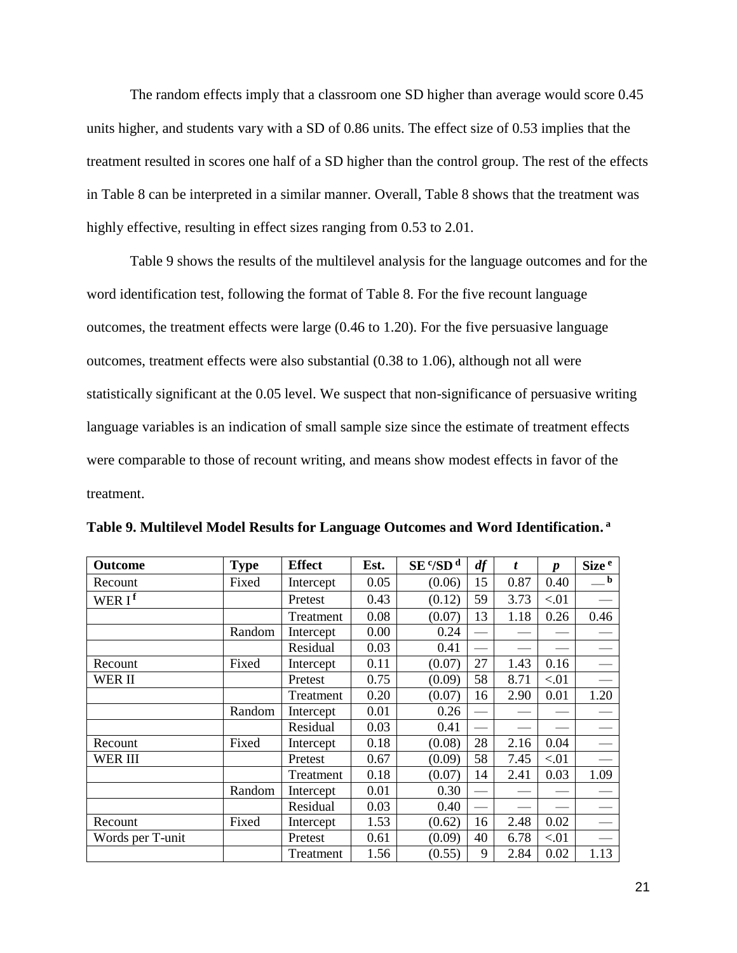The random effects imply that a classroom one SD higher than average would score 0.45 units higher, and students vary with a SD of 0.86 units. The effect size of 0.53 implies that the treatment resulted in scores one half of a SD higher than the control group. The rest of the effects in Table 8 can be interpreted in a similar manner. Overall, Table 8 shows that the treatment was highly effective, resulting in effect sizes ranging from 0.53 to 2.01.

Table 9 shows the results of the multilevel analysis for the language outcomes and for the word identification test, following the format of Table 8. For the five recount language outcomes, the treatment effects were large (0.46 to 1.20). For the five persuasive language outcomes, treatment effects were also substantial (0.38 to 1.06), although not all were statistically significant at the 0.05 level. We suspect that non-significance of persuasive writing language variables is an indication of small sample size since the estimate of treatment effects were comparable to those of recount writing, and means show modest effects in favor of the treatment.

| <b>Outcome</b>     | <b>Type</b> | <b>Effect</b> | Est. | $SE$ <sup>c</sup> /SD <sup>d</sup> | df | t    | $\boldsymbol{p}$ | Size <sup>e</sup> |
|--------------------|-------------|---------------|------|------------------------------------|----|------|------------------|-------------------|
| Recount            | Fixed       | Intercept     | 0.05 | (0.06)                             | 15 | 0.87 | 0.40             | b                 |
| WER I <sup>f</sup> |             | Pretest       | 0.43 | (0.12)                             | 59 | 3.73 | < 01             |                   |
|                    |             | Treatment     | 0.08 | (0.07)                             | 13 | 1.18 | 0.26             | 0.46              |
|                    | Random      | Intercept     | 0.00 | 0.24                               |    |      |                  |                   |
|                    |             | Residual      | 0.03 | 0.41                               |    |      |                  |                   |
| Recount            | Fixed       | Intercept     | 0.11 | (0.07)                             | 27 | 1.43 | 0.16             |                   |
| WER II             |             | Pretest       | 0.75 | (0.09)                             | 58 | 8.71 | < 01             |                   |
|                    |             | Treatment     | 0.20 | (0.07)                             | 16 | 2.90 | 0.01             | 1.20              |
|                    | Random      | Intercept     | 0.01 | 0.26                               |    |      |                  |                   |
|                    |             | Residual      | 0.03 | 0.41                               |    |      |                  |                   |
| Recount            | Fixed       | Intercept     | 0.18 | (0.08)                             | 28 | 2.16 | 0.04             |                   |
| <b>WER III</b>     |             | Pretest       | 0.67 | (0.09)                             | 58 | 7.45 | < 01             |                   |
|                    |             | Treatment     | 0.18 | (0.07)                             | 14 | 2.41 | 0.03             | 1.09              |
|                    | Random      | Intercept     | 0.01 | 0.30                               |    |      |                  |                   |
|                    |             | Residual      | 0.03 | 0.40                               |    |      |                  |                   |
| Recount            | Fixed       | Intercept     | 1.53 | (0.62)                             | 16 | 2.48 | 0.02             |                   |
| Words per T-unit   |             | Pretest       | 0.61 | (0.09)                             | 40 | 6.78 | < 01             |                   |
|                    |             | Treatment     | 1.56 | (0.55)                             | 9  | 2.84 | 0.02             | 1.13              |

**Table 9. Multilevel Model Results for Language Outcomes and Word Identification. a**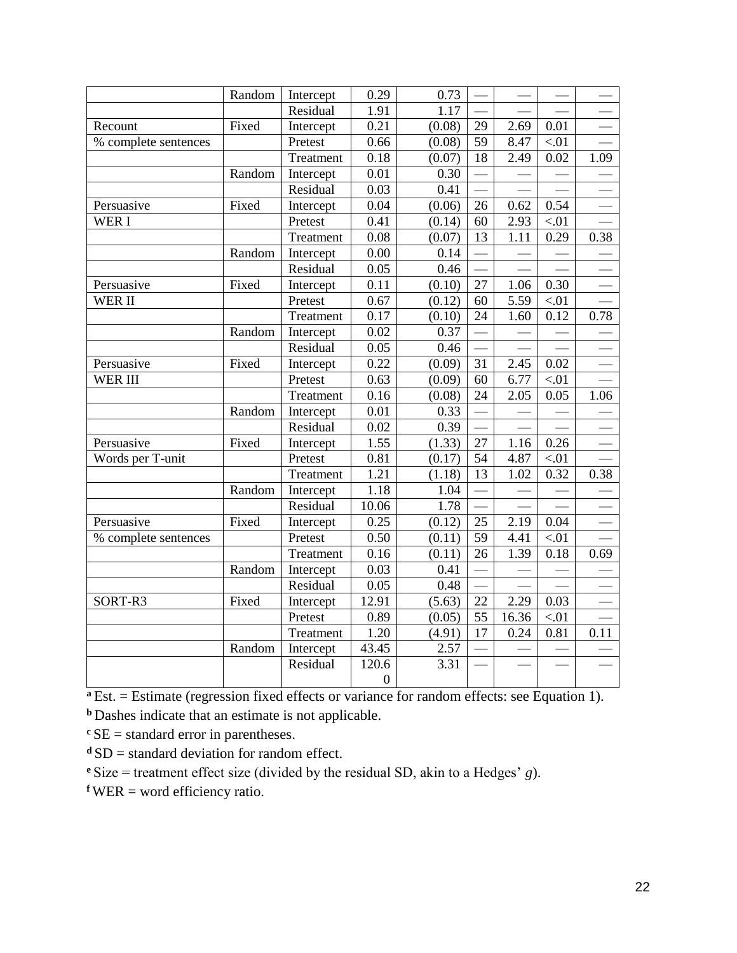|                      | Random | Intercept | 0.29              | 0.73   |    |       |        |      |
|----------------------|--------|-----------|-------------------|--------|----|-------|--------|------|
|                      |        | Residual  | 1.91              | 1.17   |    |       |        |      |
| Recount              | Fixed  | Intercept | 0.21              | (0.08) | 29 | 2.69  | 0.01   |      |
| % complete sentences |        | Pretest   | 0.66              | (0.08) | 59 | 8.47  | < 01   |      |
|                      |        | Treatment | 0.18              | (0.07) | 18 | 2.49  | 0.02   | 1.09 |
|                      | Random | Intercept | 0.01              | 0.30   |    |       |        |      |
|                      |        | Residual  | 0.03              | 0.41   |    |       |        |      |
| Persuasive           | Fixed  | Intercept | 0.04              | (0.06) | 26 | 0.62  | 0.54   |      |
| WER I                |        | Pretest   | 0.41              | (0.14) | 60 | 2.93  | $< 01$ |      |
|                      |        | Treatment | 0.08              | (0.07) | 13 | 1.11  | 0.29   | 0.38 |
|                      | Random | Intercept | $0.00\,$          | 0.14   |    |       |        |      |
|                      |        | Residual  | $\overline{0.05}$ | 0.46   |    |       |        |      |
| Persuasive           | Fixed  | Intercept | 0.11              | (0.10) | 27 | 1.06  | 0.30   |      |
| <b>WER II</b>        |        | Pretest   | 0.67              | (0.12) | 60 | 5.59  | $< 01$ |      |
|                      |        | Treatment | 0.17              | (0.10) | 24 | 1.60  | 0.12   | 0.78 |
|                      | Random | Intercept | 0.02              | 0.37   |    |       |        |      |
|                      |        | Residual  | 0.05              | 0.46   |    |       |        |      |
| Persuasive           | Fixed  | Intercept | 0.22              | (0.09) | 31 | 2.45  | 0.02   |      |
| WER III              |        | Pretest   | 0.63              | (0.09) | 60 | 6.77  | < 01   |      |
|                      |        | Treatment | 0.16              | (0.08) | 24 | 2.05  | 0.05   | 1.06 |
|                      | Random | Intercept | 0.01              | 0.33   |    |       |        |      |
|                      |        | Residual  | 0.02              | 0.39   |    |       |        |      |
| Persuasive           | Fixed  | Intercept | 1.55              | (1.33) | 27 | 1.16  | 0.26   |      |
| Words per T-unit     |        | Pretest   | 0.81              | (0.17) | 54 | 4.87  | $< 01$ |      |
|                      |        | Treatment | 1.21              | (1.18) | 13 | 1.02  | 0.32   | 0.38 |
|                      | Random | Intercept | 1.18              | 1.04   |    |       |        |      |
|                      |        | Residual  | 10.06             | 1.78   |    |       |        |      |
| Persuasive           | Fixed  | Intercept | 0.25              | (0.12) | 25 | 2.19  | 0.04   |      |
| % complete sentences |        | Pretest   | 0.50              | (0.11) | 59 | 4.41  | < 01   |      |
|                      |        | Treatment | 0.16              | (0.11) | 26 | 1.39  | 0.18   | 0.69 |
|                      | Random | Intercept | 0.03              | 0.41   |    |       |        |      |
|                      |        | Residual  | 0.05              | 0.48   |    |       |        |      |
| SORT-R3              | Fixed  | Intercept | 12.91             | (5.63) | 22 | 2.29  | 0.03   |      |
|                      |        | Pretest   | 0.89              | (0.05) | 55 | 16.36 | < 01   |      |
|                      |        | Treatment | 1.20              | (4.91) | 17 | 0.24  | 0.81   | 0.11 |
|                      | Random | Intercept | 43.45             | 2.57   |    |       |        |      |
|                      |        | Residual  | 120.6             | 3.31   |    |       |        |      |
|                      |        |           | $\boldsymbol{0}$  |        |    |       |        |      |

**<sup>a</sup>** Est. = Estimate (regression fixed effects or variance for random effects: see Equation 1).

**b** Dashes indicate that an estimate is not applicable.

 $c$ SE = standard error in parentheses.

**d** SD = standard deviation for random effect.

**<sup>e</sup>**Size = treatment effect size (divided by the residual SD, akin to a Hedges' *g*).

 $fWER = word efficiency ratio.$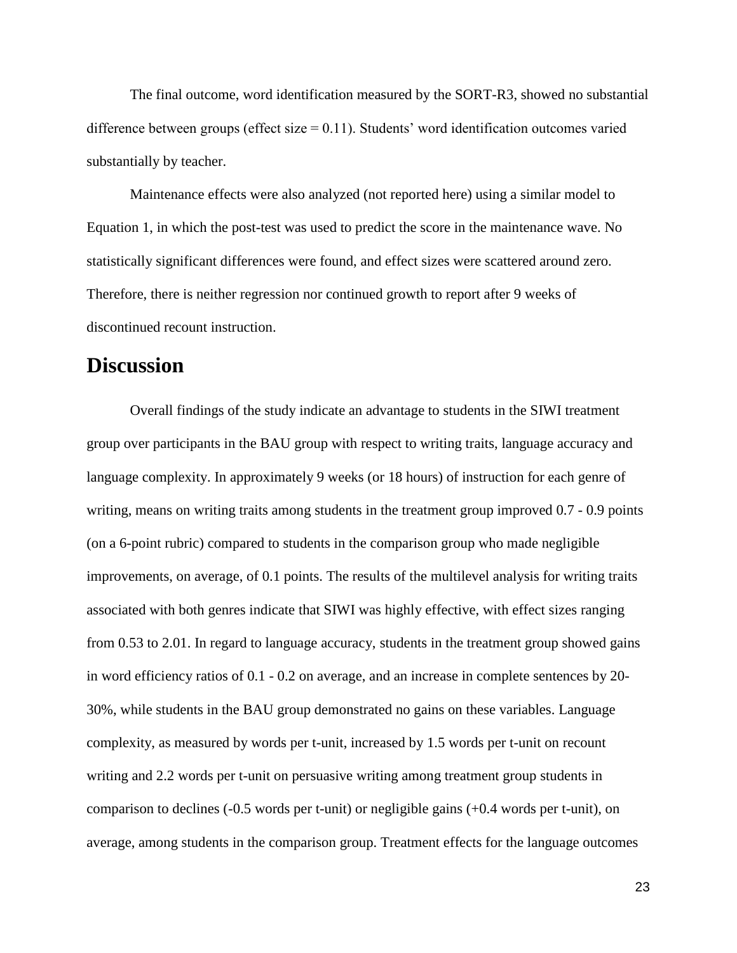The final outcome, word identification measured by the SORT-R3, showed no substantial difference between groups (effect size  $= 0.11$ ). Students' word identification outcomes varied substantially by teacher.

Maintenance effects were also analyzed (not reported here) using a similar model to Equation 1, in which the post-test was used to predict the score in the maintenance wave. No statistically significant differences were found, and effect sizes were scattered around zero. Therefore, there is neither regression nor continued growth to report after 9 weeks of discontinued recount instruction.

## **Discussion**

Overall findings of the study indicate an advantage to students in the SIWI treatment group over participants in the BAU group with respect to writing traits, language accuracy and language complexity. In approximately 9 weeks (or 18 hours) of instruction for each genre of writing, means on writing traits among students in the treatment group improved  $0.7 - 0.9$  points (on a 6-point rubric) compared to students in the comparison group who made negligible improvements, on average, of 0.1 points. The results of the multilevel analysis for writing traits associated with both genres indicate that SIWI was highly effective, with effect sizes ranging from 0.53 to 2.01. In regard to language accuracy, students in the treatment group showed gains in word efficiency ratios of 0.1 - 0.2 on average, and an increase in complete sentences by 20- 30%, while students in the BAU group demonstrated no gains on these variables. Language complexity, as measured by words per t-unit, increased by 1.5 words per t-unit on recount writing and 2.2 words per t-unit on persuasive writing among treatment group students in comparison to declines (-0.5 words per t-unit) or negligible gains (+0.4 words per t-unit), on average, among students in the comparison group. Treatment effects for the language outcomes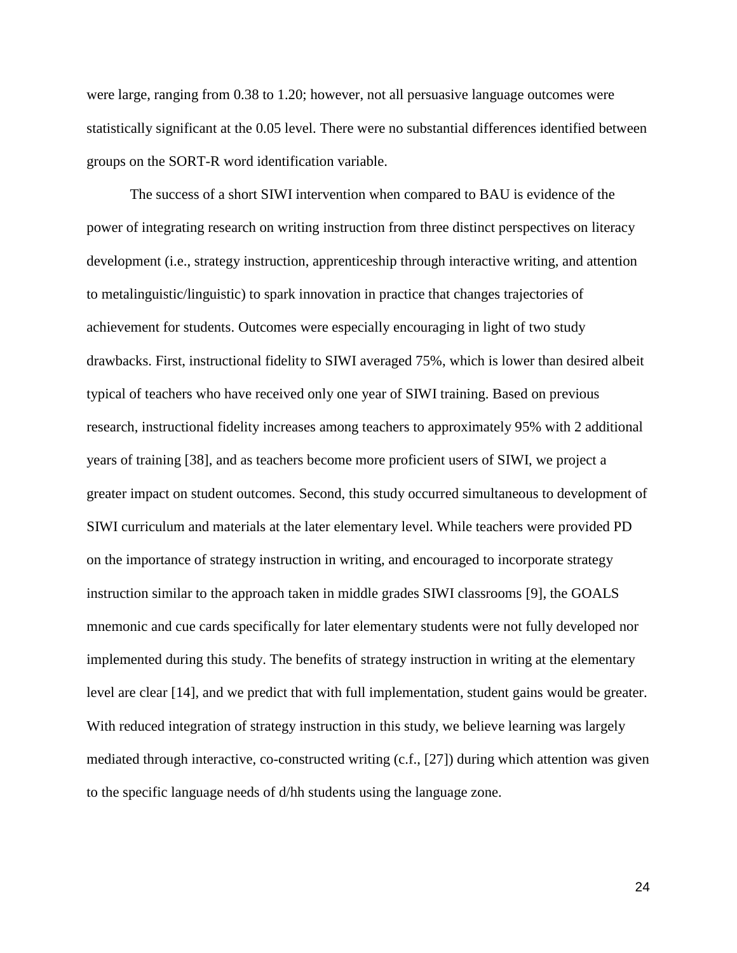were large, ranging from 0.38 to 1.20; however, not all persuasive language outcomes were statistically significant at the 0.05 level. There were no substantial differences identified between groups on the SORT-R word identification variable.

The success of a short SIWI intervention when compared to BAU is evidence of the power of integrating research on writing instruction from three distinct perspectives on literacy development (i.e., strategy instruction, apprenticeship through interactive writing, and attention to metalinguistic/linguistic) to spark innovation in practice that changes trajectories of achievement for students. Outcomes were especially encouraging in light of two study drawbacks. First, instructional fidelity to SIWI averaged 75%, which is lower than desired albeit typical of teachers who have received only one year of SIWI training. Based on previous research, instructional fidelity increases among teachers to approximately 95% with 2 additional years of training [38], and as teachers become more proficient users of SIWI, we project a greater impact on student outcomes. Second, this study occurred simultaneous to development of SIWI curriculum and materials at the later elementary level. While teachers were provided PD on the importance of strategy instruction in writing, and encouraged to incorporate strategy instruction similar to the approach taken in middle grades SIWI classrooms [9], the GOALS mnemonic and cue cards specifically for later elementary students were not fully developed nor implemented during this study. The benefits of strategy instruction in writing at the elementary level are clear [14], and we predict that with full implementation, student gains would be greater. With reduced integration of strategy instruction in this study, we believe learning was largely mediated through interactive, co-constructed writing (c.f., [27]) during which attention was given to the specific language needs of d/hh students using the language zone.

24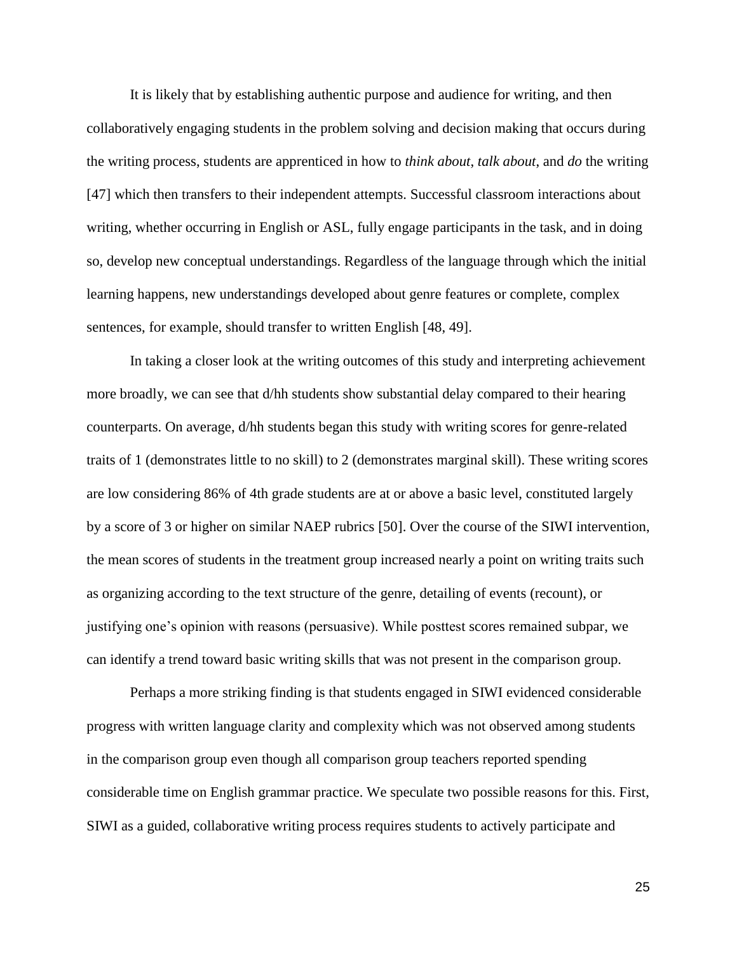It is likely that by establishing authentic purpose and audience for writing, and then collaboratively engaging students in the problem solving and decision making that occurs during the writing process, students are apprenticed in how to *think about*, *talk about*, and *do* the writing [47] which then transfers to their independent attempts. Successful classroom interactions about writing, whether occurring in English or ASL, fully engage participants in the task, and in doing so, develop new conceptual understandings. Regardless of the language through which the initial learning happens, new understandings developed about genre features or complete, complex sentences, for example, should transfer to written English [48, 49].

In taking a closer look at the writing outcomes of this study and interpreting achievement more broadly, we can see that d/hh students show substantial delay compared to their hearing counterparts. On average, d/hh students began this study with writing scores for genre-related traits of 1 (demonstrates little to no skill) to 2 (demonstrates marginal skill). These writing scores are low considering 86% of 4th grade students are at or above a basic level, constituted largely by a score of 3 or higher on similar NAEP rubrics [50]. Over the course of the SIWI intervention, the mean scores of students in the treatment group increased nearly a point on writing traits such as organizing according to the text structure of the genre, detailing of events (recount), or justifying one's opinion with reasons (persuasive). While posttest scores remained subpar, we can identify a trend toward basic writing skills that was not present in the comparison group.

Perhaps a more striking finding is that students engaged in SIWI evidenced considerable progress with written language clarity and complexity which was not observed among students in the comparison group even though all comparison group teachers reported spending considerable time on English grammar practice. We speculate two possible reasons for this. First, SIWI as a guided, collaborative writing process requires students to actively participate and

25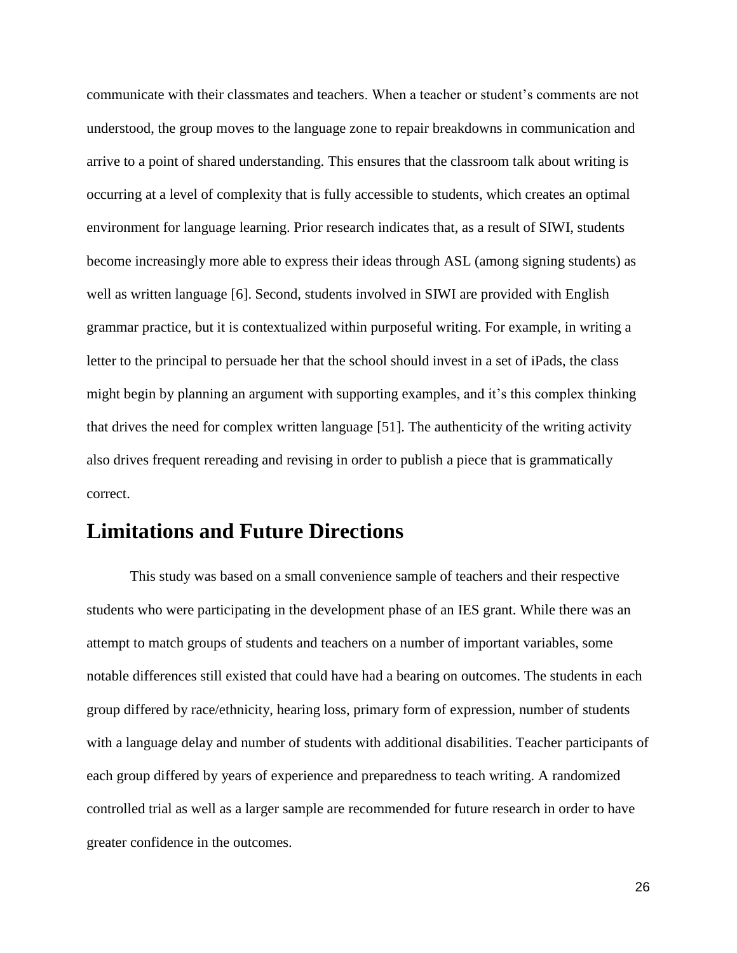communicate with their classmates and teachers. When a teacher or student's comments are not understood, the group moves to the language zone to repair breakdowns in communication and arrive to a point of shared understanding. This ensures that the classroom talk about writing is occurring at a level of complexity that is fully accessible to students, which creates an optimal environment for language learning. Prior research indicates that, as a result of SIWI, students become increasingly more able to express their ideas through ASL (among signing students) as well as written language [6]. Second, students involved in SIWI are provided with English grammar practice, but it is contextualized within purposeful writing. For example, in writing a letter to the principal to persuade her that the school should invest in a set of iPads, the class might begin by planning an argument with supporting examples, and it's this complex thinking that drives the need for complex written language [51]. The authenticity of the writing activity also drives frequent rereading and revising in order to publish a piece that is grammatically correct.

# **Limitations and Future Directions**

This study was based on a small convenience sample of teachers and their respective students who were participating in the development phase of an IES grant. While there was an attempt to match groups of students and teachers on a number of important variables, some notable differences still existed that could have had a bearing on outcomes. The students in each group differed by race/ethnicity, hearing loss, primary form of expression, number of students with a language delay and number of students with additional disabilities. Teacher participants of each group differed by years of experience and preparedness to teach writing. A randomized controlled trial as well as a larger sample are recommended for future research in order to have greater confidence in the outcomes.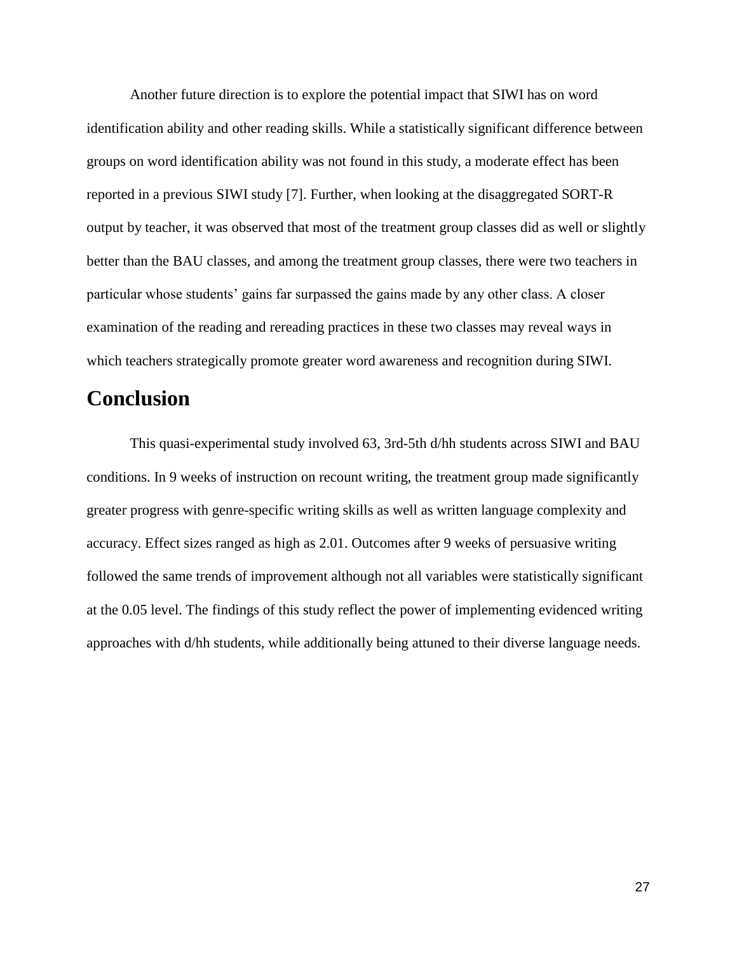Another future direction is to explore the potential impact that SIWI has on word identification ability and other reading skills. While a statistically significant difference between groups on word identification ability was not found in this study, a moderate effect has been reported in a previous SIWI study [7]. Further, when looking at the disaggregated SORT-R output by teacher, it was observed that most of the treatment group classes did as well or slightly better than the BAU classes, and among the treatment group classes, there were two teachers in particular whose students' gains far surpassed the gains made by any other class. A closer examination of the reading and rereading practices in these two classes may reveal ways in which teachers strategically promote greater word awareness and recognition during SIWI.

# **Conclusion**

This quasi-experimental study involved 63, 3rd-5th d/hh students across SIWI and BAU conditions. In 9 weeks of instruction on recount writing, the treatment group made significantly greater progress with genre-specific writing skills as well as written language complexity and accuracy. Effect sizes ranged as high as 2.01. Outcomes after 9 weeks of persuasive writing followed the same trends of improvement although not all variables were statistically significant at the 0.05 level. The findings of this study reflect the power of implementing evidenced writing approaches with d/hh students, while additionally being attuned to their diverse language needs.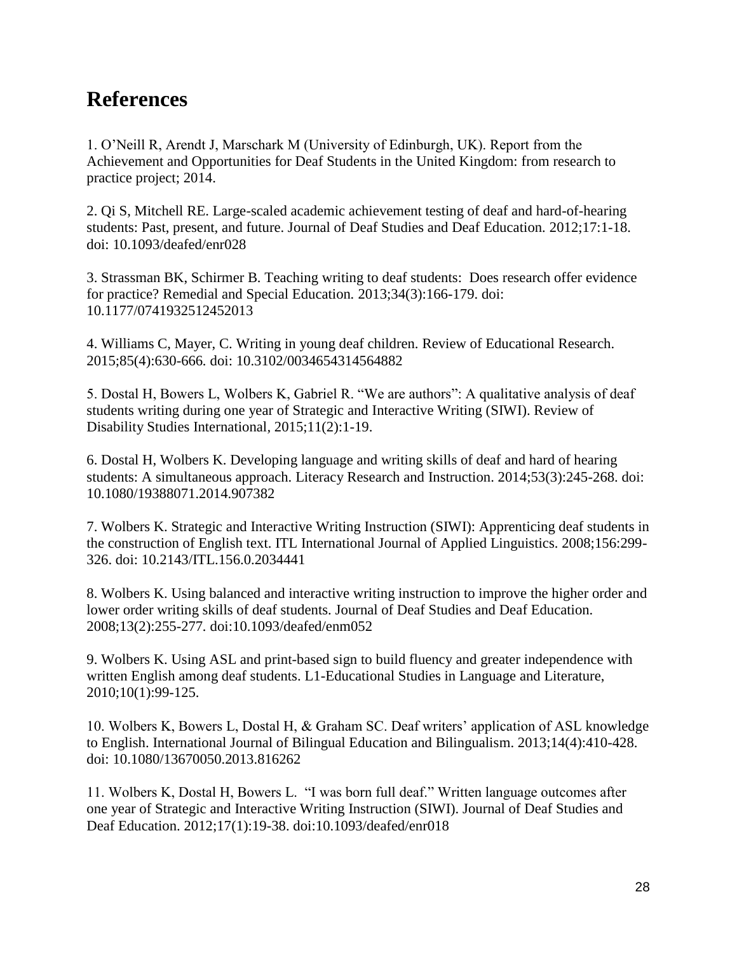# **References**

1. O'Neill R, Arendt J, Marschark M (University of Edinburgh, UK). Report from the Achievement and Opportunities for Deaf Students in the United Kingdom: from research to practice project; 2014.

2. Qi S, Mitchell RE. Large-scaled academic achievement testing of deaf and hard-of-hearing students: Past, present, and future. Journal of Deaf Studies and Deaf Education*.* 2012;17:1-18. doi: 10.1093/deafed/enr028

3. Strassman BK, Schirmer B. Teaching writing to deaf students: Does research offer evidence for practice? Remedial and Special Education*.* 2013;34(3):166-179. doi: 10.1177/0741932512452013

4. Williams C, Mayer, C. Writing in young deaf children. Review of Educational Research. 2015;85(4):630-666*.* doi: 10.3102/0034654314564882

5. Dostal H, Bowers L, Wolbers K, Gabriel R. "We are authors": A qualitative analysis of deaf students writing during one year of Strategic and Interactive Writing (SIWI). Review of Disability Studies International*,* 2015;11(2):1-19.

6. Dostal H, Wolbers K. Developing language and writing skills of deaf and hard of hearing students: A simultaneous approach. Literacy Research and Instruction. 2014;53(3):245-268. doi: 10.1080/19388071.2014.907382

7. Wolbers K. Strategic and Interactive Writing Instruction (SIWI): Apprenticing deaf students in the construction of English text. ITL International Journal of Applied Linguistics. 2008;156:299- 326. doi: 10.2143/ITL.156.0.2034441

8. Wolbers K. Using balanced and interactive writing instruction to improve the higher order and lower order writing skills of deaf students. Journal of Deaf Studies and Deaf Education. 2008;13(2):255-277*.* doi:10.1093/deafed/enm052

9. Wolbers K. Using ASL and print-based sign to build fluency and greater independence with written English among deaf students. L1-Educational Studies in Language and Literature, 2010;10(1):99-125.

10. Wolbers K, Bowers L, Dostal H, & Graham SC. Deaf writers' application of ASL knowledge to English. International Journal of Bilingual Education and Bilingualism. 2013;14(4):410-428. doi: 10.1080/13670050.2013.816262

11. Wolbers K, Dostal H, Bowers L. "I was born full deaf." Written language outcomes after one year of Strategic and Interactive Writing Instruction (SIWI). Journal of Deaf Studies and Deaf Education. 2012;17(1):19-38. doi:10.1093/deafed/enr018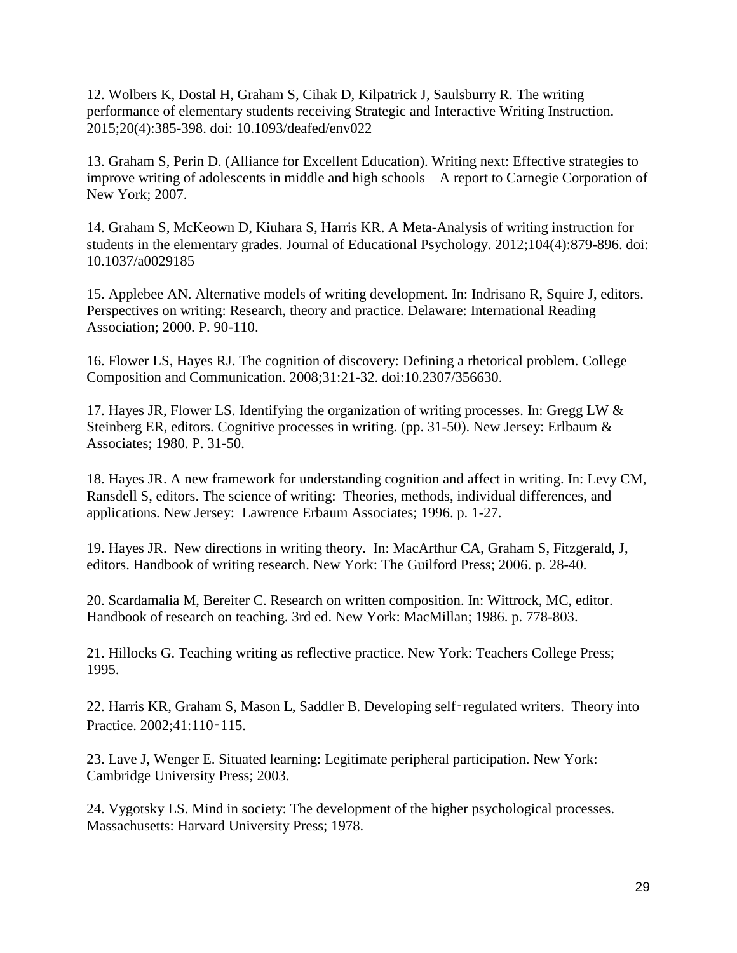12. Wolbers K, Dostal H, Graham S, Cihak D, Kilpatrick J, Saulsburry R. The writing performance of elementary students receiving Strategic and Interactive Writing Instruction. 2015;20(4):385-398. doi: 10.1093/deafed/env022

13. Graham S, Perin D. (Alliance for Excellent Education). Writing next: Effective strategies to improve writing of adolescents in middle and high schools – A report to Carnegie Corporation of New York; 2007.

14. Graham S, McKeown D, Kiuhara S, Harris KR. A Meta-Analysis of writing instruction for students in the elementary grades. Journal of Educational Psychology. 2012;104(4):879-896. doi: 10.1037/a0029185

15. Applebee AN. Alternative models of writing development. In: Indrisano R, Squire J, editors. Perspectives on writing: Research, theory and practice. Delaware: International Reading Association; 2000. P. 90-110.

16. Flower LS, Hayes RJ. The cognition of discovery: Defining a rhetorical problem. College Composition and Communication. 2008;31:21-32. doi:10.2307/356630.

17. Hayes JR, Flower LS. Identifying the organization of writing processes. In: Gregg LW & Steinberg ER, editors. Cognitive processes in writing*.* (pp. 31-50). New Jersey: Erlbaum & Associates; 1980. P. 31-50.

18. Hayes JR. A new framework for understanding cognition and affect in writing. In: Levy CM, Ransdell S, editors. The science of writing: Theories, methods, individual differences, and applications. New Jersey: Lawrence Erbaum Associates; 1996. p. 1-27.

19. Hayes JR. New directions in writing theory. In: MacArthur CA, Graham S, Fitzgerald, J, editors. Handbook of writing research. New York: The Guilford Press; 2006. p. 28-40.

20. Scardamalia M, Bereiter C. Research on written composition. In: Wittrock, MC, editor. Handbook of research on teaching. 3rd ed. New York: MacMillan; 1986. p. 778-803.

21. Hillocks G. Teaching writing as reflective practice. New York: Teachers College Press; 1995.

22. Harris KR, Graham S, Mason L, Saddler B. Developing self‑regulated writers. Theory into Practice. 2002;41:110‑115.

23. Lave J, Wenger E. Situated learning: Legitimate peripheral participation. New York: Cambridge University Press; 2003.

24. Vygotsky LS. Mind in society: The development of the higher psychological processes. Massachusetts: Harvard University Press; 1978.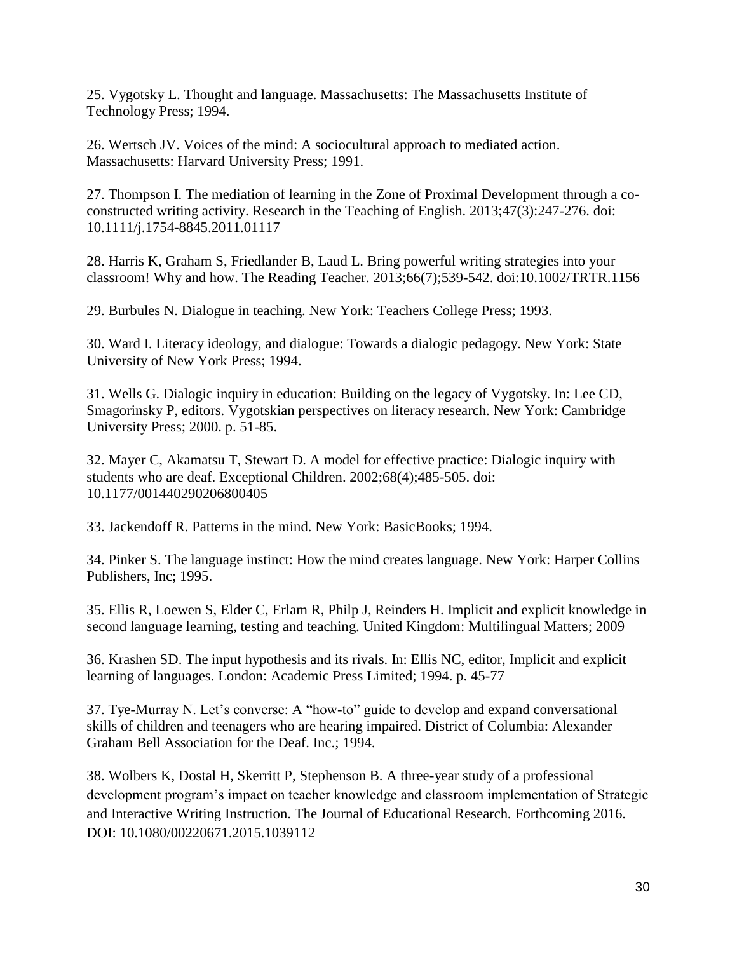25. Vygotsky L. Thought and language. Massachusetts: The Massachusetts Institute of Technology Press; 1994.

26. Wertsch JV. Voices of the mind: A sociocultural approach to mediated action. Massachusetts: Harvard University Press; 1991.

27. Thompson I. The mediation of learning in the Zone of Proximal Development through a coconstructed writing activity. Research in the Teaching of English. 2013;47(3):247-276. doi: 10.1111/j.1754-8845.2011.01117

28. Harris K, Graham S, Friedlander B, Laud L. Bring powerful writing strategies into your classroom! Why and how. The Reading Teacher. 2013;66(7);539-542. doi:10.1002/TRTR.1156

29. Burbules N. Dialogue in teaching. New York: Teachers College Press; 1993.

30. Ward I. Literacy ideology, and dialogue: Towards a dialogic pedagogy. New York: State University of New York Press; 1994.

31. Wells G. Dialogic inquiry in education: Building on the legacy of Vygotsky. In: Lee CD, Smagorinsky P, editors. Vygotskian perspectives on literacy research. New York: Cambridge University Press; 2000. p. 51-85.

32. Mayer C, Akamatsu T, Stewart D. A model for effective practice: Dialogic inquiry with students who are deaf. Exceptional Children. 2002;68(4);485-505. doi: 10.1177/001440290206800405

33. Jackendoff R. Patterns in the mind. New York: BasicBooks; 1994.

34. Pinker S. The language instinct: How the mind creates language. New York: Harper Collins Publishers, Inc; 1995.

35. Ellis R, Loewen S, Elder C, Erlam R, Philp J, Reinders H. Implicit and explicit knowledge in second language learning, testing and teaching. United Kingdom: Multilingual Matters; 2009

36. Krashen SD. The input hypothesis and its rivals. In: Ellis NC, editor, Implicit and explicit learning of languages. London: Academic Press Limited; 1994. p. 45-77

37. Tye-Murray N. Let's converse: A "how-to" guide to develop and expand conversational skills of children and teenagers who are hearing impaired. District of Columbia: Alexander Graham Bell Association for the Deaf. Inc.; 1994.

38. Wolbers K, Dostal H, Skerritt P, Stephenson B. A three-year study of a professional development program's impact on teacher knowledge and classroom implementation of Strategic and Interactive Writing Instruction. The Journal of Educational Research*.* Forthcoming 2016. DOI: 10.1080/00220671.2015.1039112